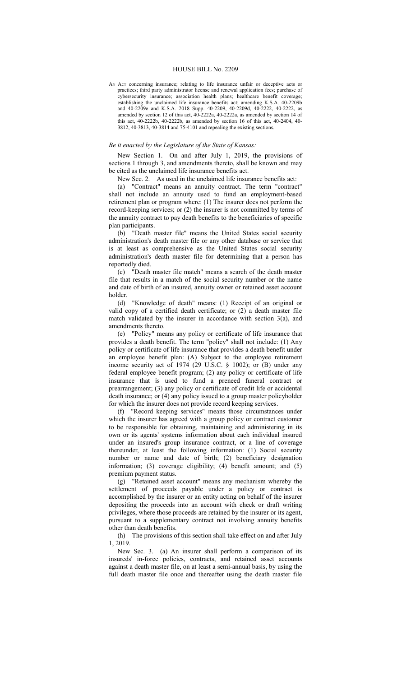#### HOUSE BILL No. 2209

AN Act concerning insurance; relating to life insurance unfair or deceptive acts or practices; third party administrator license and renewal application fees; purchase of cybersecurity insurance; association health plans; healthcare benefit coverage; establishing the unclaimed life insurance benefits act; amending K.S.A. 40-2209b and 40-2209e and K.S.A. 2018 Supp. 40-2209, 40-2209d, 40-2222, 40-2222, as amended by section 12 of this act,  $40-2222a$ ,  $40-2222a$ , as amended by section 14 of this act, 40-2222b, 40-2222b, as amended by section 16 of this act, 40-2404, 40- 3812, 40-3813, 40-3814 and 75-4101 and repealing the existing sections.

### *Be it enacted by the Legislature of the State of Kansas:*

New Section 1. On and after July 1, 2019, the provisions of sections 1 through 3, and amendments thereto, shall be known and may be cited as the unclaimed life insurance benefits act.

New Sec. 2. As used in the unclaimed life insurance benefits act:

(a) "Contract" means an annuity contract. The term "contract" shall not include an annuity used to fund an employment-based retirement plan or program where: (1) The insurer does not perform the record-keeping services; or (2) the insurer is not committed by terms of the annuity contract to pay death benefits to the beneficiaries of specific plan participants.

(b) "Death master file" means the United States social security administration's death master file or any other database or service that is at least as comprehensive as the United States social security administration's death master file for determining that a person has reportedly died.

(c) "Death master file match" means a search of the death master file that results in a match of the social security number or the name and date of birth of an insured, annuity owner or retained asset account holder.

(d) "Knowledge of death" means: (1) Receipt of an original or valid copy of a certified death certificate; or (2) a death master file match validated by the insurer in accordance with section 3(a), and amendments thereto.

(e) "Policy" means any policy or certificate of life insurance that provides a death benefit. The term "policy" shall not include: (1) Any policy or certificate of life insurance that provides a death benefit under an employee benefit plan: (A) Subject to the employee retirement income security act of 1974 (29 U.S.C. § 1002); or (B) under any federal employee benefit program; (2) any policy or certificate of life insurance that is used to fund a preneed funeral contract or prearrangement; (3) any policy or certificate of credit life or accidental death insurance; or (4) any policy issued to a group master policyholder for which the insurer does not provide record keeping services.

(f) "Record keeping services" means those circumstances under which the insurer has agreed with a group policy or contract customer to be responsible for obtaining, maintaining and administering in its own or its agents' systems information about each individual insured under an insured's group insurance contract, or a line of coverage thereunder, at least the following information: (1) Social security number or name and date of birth; (2) beneficiary designation information; (3) coverage eligibility; (4) benefit amount; and (5) premium payment status.

(g) "Retained asset account" means any mechanism whereby the settlement of proceeds payable under a policy or contract is accomplished by the insurer or an entity acting on behalf of the insurer depositing the proceeds into an account with check or draft writing privileges, where those proceeds are retained by the insurer or its agent, pursuant to a supplementary contract not involving annuity benefits other than death benefits.

(h) The provisions of this section shall take effect on and after July 1, 2019.

New Sec. 3. (a) An insurer shall perform a comparison of its insureds' in-force policies, contracts, and retained asset accounts against a death master file, on at least a semi-annual basis, by using the full death master file once and thereafter using the death master file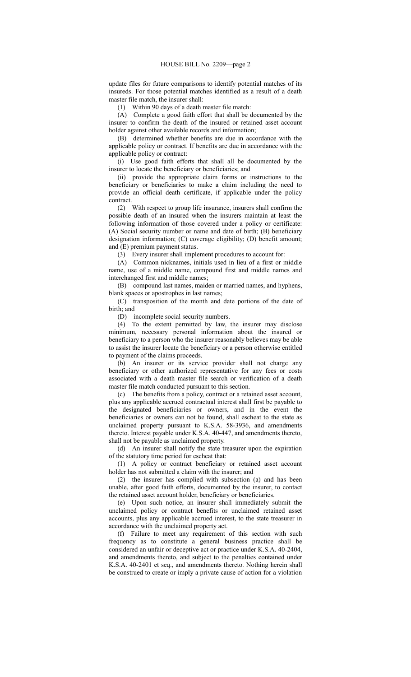update files for future comparisons to identify potential matches of its insureds. For those potential matches identified as a result of a death master file match, the insurer shall:

(1) Within 90 days of a death master file match:

(A) Complete a good faith effort that shall be documented by the insurer to confirm the death of the insured or retained asset account holder against other available records and information;

(B) determined whether benefits are due in accordance with the applicable policy or contract. If benefits are due in accordance with the applicable policy or contract:

(i) Use good faith efforts that shall all be documented by the insurer to locate the beneficiary or beneficiaries; and

(ii) provide the appropriate claim forms or instructions to the beneficiary or beneficiaries to make a claim including the need to provide an official death certificate, if applicable under the policy contract.

(2) With respect to group life insurance, insurers shall confirm the possible death of an insured when the insurers maintain at least the following information of those covered under a policy or certificate: (A) Social security number or name and date of birth; (B) beneficiary designation information; (C) coverage eligibility; (D) benefit amount; and (E) premium payment status.

(3) Every insurer shall implement procedures to account for:

(A) Common nicknames, initials used in lieu of a first or middle name, use of a middle name, compound first and middle names and interchanged first and middle names;

(B) compound last names, maiden or married names, and hyphens, blank spaces or apostrophes in last names;

(C) transposition of the month and date portions of the date of birth; and

(D) incomplete social security numbers.

(4) To the extent permitted by law, the insurer may disclose minimum, necessary personal information about the insured or beneficiary to a person who the insurer reasonably believes may be able to assist the insurer locate the beneficiary or a person otherwise entitled to payment of the claims proceeds.

(b) An insurer or its service provider shall not charge any beneficiary or other authorized representative for any fees or costs associated with a death master file search or verification of a death master file match conducted pursuant to this section.

(c) The benefits from a policy, contract or a retained asset account, plus any applicable accrued contractual interest shall first be payable to the designated beneficiaries or owners, and in the event the beneficiaries or owners can not be found, shall escheat to the state as unclaimed property pursuant to K.S.A. 58-3936, and amendments thereto. Interest payable under K.S.A. 40-447, and amendments thereto, shall not be payable as unclaimed property.

(d) An insurer shall notify the state treasurer upon the expiration of the statutory time period for escheat that:

(1) A policy or contract beneficiary or retained asset account holder has not submitted a claim with the insurer; and

(2) the insurer has complied with subsection (a) and has been unable, after good faith efforts, documented by the insurer, to contact the retained asset account holder, beneficiary or beneficiaries.

(e) Upon such notice, an insurer shall immediately submit the unclaimed policy or contract benefits or unclaimed retained asset accounts, plus any applicable accrued interest, to the state treasurer in accordance with the unclaimed property act.

(f) Failure to meet any requirement of this section with such frequency as to constitute a general business practice shall be considered an unfair or deceptive act or practice under K.S.A. 40-2404, and amendments thereto, and subject to the penalties contained under K.S.A. 40-2401 et seq., and amendments thereto. Nothing herein shall be construed to create or imply a private cause of action for a violation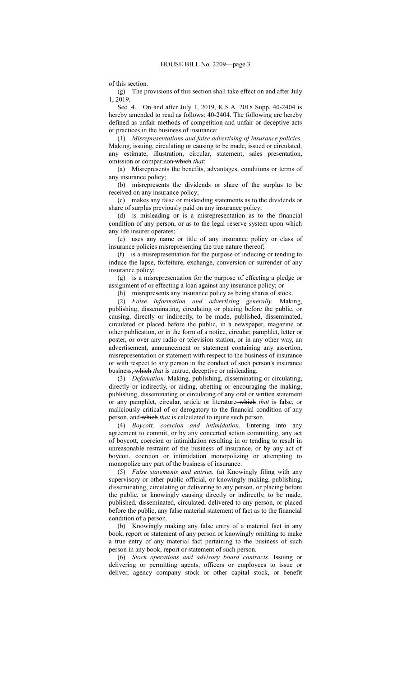of this section.

(g) The provisions of this section shall take effect on and after July 1, 2019.

Sec. 4. On and after July 1, 2019, K.S.A. 2018 Supp. 40-2404 is hereby amended to read as follows: 40-2404. The following are hereby defined as unfair methods of competition and unfair or deceptive acts or practices in the business of insurance:

(1) *Misrepresentations and false advertising of insurance policies.* Making, issuing, circulating or causing to be made, issued or circulated, any estimate, illustration, circular, statement, sales presentation, omission or comparison which *that*:

(a) Misrepresents the benefits, advantages, conditions or terms of any insurance policy;

(b) misrepresents the dividends or share of the surplus to be received on any insurance policy;

(c) makes any false or misleading statements as to the dividends or share of surplus previously paid on any insurance policy;

(d) is misleading or is a misrepresentation as to the financial condition of any person, or as to the legal reserve system upon which any life insurer operates;

(e) uses any name or title of any insurance policy or class of insurance policies misrepresenting the true nature thereof;

(f) is a misrepresentation for the purpose of inducing or tending to induce the lapse, forfeiture, exchange, conversion or surrender of any insurance policy;

(g) is a misrepresentation for the purpose of effecting a pledge or assignment of or effecting a loan against any insurance policy; or

(h) misrepresents any insurance policy as being shares of stock.

(2) *False information and advertising generally.* Making, publishing, disseminating, circulating or placing before the public, or causing, directly or indirectly, to be made, published, disseminated, circulated or placed before the public, in a newspaper, magazine or other publication, or in the form of a notice, circular, pamphlet, letter or poster, or over any radio or television station, or in any other way, an advertisement, announcement or statement containing any assertion, misrepresentation or statement with respect to the business of insurance or with respect to any person in the conduct of such person's insurance business, which *that* is untrue, deceptive or misleading.

(3) *Defamation.* Making, publishing, disseminating or circulating, directly or indirectly, or aiding, abetting or encouraging the making, publishing, disseminating or circulating of any oral or written statement or any pamphlet, circular, article or literature which *that* is false, or maliciously critical of or derogatory to the financial condition of any person, and which *that* is calculated to injure such person.

(4) *Boycott, coercion and intimidation.* Entering into any agreement to commit, or by any concerted action committing, any act of boycott, coercion or intimidation resulting in or tending to result in unreasonable restraint of the business of insurance, or by any act of boycott, coercion or intimidation monopolizing or attempting to monopolize any part of the business of insurance.

(5) *False statements and entries.* (a) Knowingly filing with any supervisory or other public official, or knowingly making, publishing, disseminating, circulating or delivering to any person, or placing before the public, or knowingly causing directly or indirectly, to be made, published, disseminated, circulated, delivered to any person, or placed before the public, any false material statement of fact as to the financial condition of a person.

(b) Knowingly making any false entry of a material fact in any book, report or statement of any person or knowingly omitting to make a true entry of any material fact pertaining to the business of such person in any book, report or statement of such person.

(6) *Stock operations and advisory board contracts.* Issuing or delivering or permitting agents, officers or employees to issue or deliver, agency company stock or other capital stock, or benefit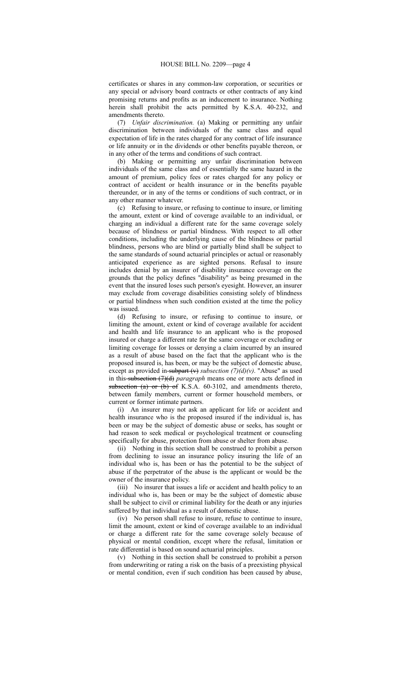certificates or shares in any common-law corporation, or securities or any special or advisory board contracts or other contracts of any kind promising returns and profits as an inducement to insurance. Nothing herein shall prohibit the acts permitted by K.S.A. 40-232, and amendments thereto.

(7) *Unfair discrimination.* (a) Making or permitting any unfair discrimination between individuals of the same class and equal expectation of life in the rates charged for any contract of life insurance or life annuity or in the dividends or other benefits payable thereon, or in any other of the terms and conditions of such contract.

(b) Making or permitting any unfair discrimination between individuals of the same class and of essentially the same hazard in the amount of premium, policy fees or rates charged for any policy or contract of accident or health insurance or in the benefits payable thereunder, or in any of the terms or conditions of such contract, or in any other manner whatever.

(c) Refusing to insure, or refusing to continue to insure, or limiting the amount, extent or kind of coverage available to an individual, or charging an individual a different rate for the same coverage solely because of blindness or partial blindness. With respect to all other conditions, including the underlying cause of the blindness or partial blindness, persons who are blind or partially blind shall be subject to the same standards of sound actuarial principles or actual or reasonably anticipated experience as are sighted persons. Refusal to insure includes denial by an insurer of disability insurance coverage on the grounds that the policy defines "disability" as being presumed in the event that the insured loses such person's eyesight. However, an insurer may exclude from coverage disabilities consisting solely of blindness or partial blindness when such condition existed at the time the policy was issued.

(d) Refusing to insure, or refusing to continue to insure, or limiting the amount, extent or kind of coverage available for accident and health and life insurance to an applicant who is the proposed insured or charge a different rate for the same coverage or excluding or limiting coverage for losses or denying a claim incurred by an insured as a result of abuse based on the fact that the applicant who is the proposed insured is, has been, or may be the subject of domestic abuse, except as provided in-subpart  $(v)$  *subsection*  $(7)(d)(v)$ . "Abuse" as used in this subsection (7)(d) *paragraph* means one or more acts defined in subsection (a) or (b) of K.S.A. 60-3102, and amendments thereto, between family members, current or former household members, or current or former intimate partners.

(i) An insurer may not ask an applicant for life or accident and health insurance who is the proposed insured if the individual is, has been or may be the subject of domestic abuse or seeks, has sought or had reason to seek medical or psychological treatment or counseling specifically for abuse, protection from abuse or shelter from abuse.

(ii) Nothing in this section shall be construed to prohibit a person from declining to issue an insurance policy insuring the life of an individual who is, has been or has the potential to be the subject of abuse if the perpetrator of the abuse is the applicant or would be the owner of the insurance policy.

(iii) No insurer that issues a life or accident and health policy to an individual who is, has been or may be the subject of domestic abuse shall be subject to civil or criminal liability for the death or any injuries suffered by that individual as a result of domestic abuse.

(iv) No person shall refuse to insure, refuse to continue to insure, limit the amount, extent or kind of coverage available to an individual or charge a different rate for the same coverage solely because of physical or mental condition, except where the refusal, limitation or rate differential is based on sound actuarial principles.

(v) Nothing in this section shall be construed to prohibit a person from underwriting or rating a risk on the basis of a preexisting physical or mental condition, even if such condition has been caused by abuse,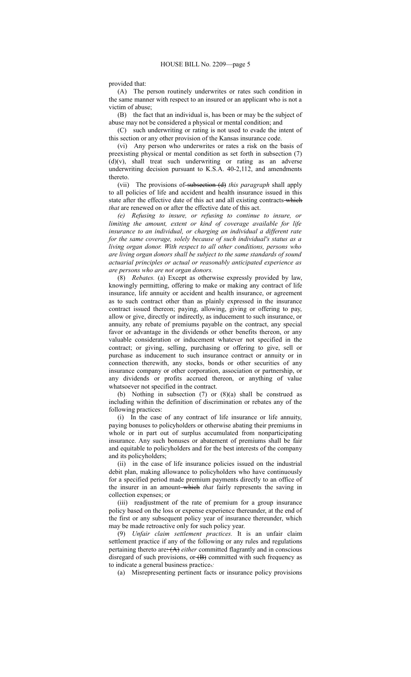#### provided that:

(A) The person routinely underwrites or rates such condition in the same manner with respect to an insured or an applicant who is not a victim of abuse;

(B) the fact that an individual is, has been or may be the subject of abuse may not be considered a physical or mental condition; and

(C) such underwriting or rating is not used to evade the intent of this section or any other provision of the Kansas insurance code.

(vi) Any person who underwrites or rates a risk on the basis of preexisting physical or mental condition as set forth in subsection (7) (d)(v), shall treat such underwriting or rating as an adverse underwriting decision pursuant to K.S.A. 40-2,112, and amendments thereto.

(vii) The provisions of subsection (d) *this paragraph* shall apply to all policies of life and accident and health insurance issued in this state after the effective date of this act and all existing contracts-which *that* are renewed on or after the effective date of this act.

*(e) Refusing to insure, or refusing to continue to insure, or limiting the amount, extent or kind of coverage available for life insurance to an individual, or charging an individual a different rate for the same coverage, solely because of such individual's status as a living organ donor. With respect to all other conditions, persons who are living organ donors shall be subject to the same standards of sound actuarial principles or actual or reasonably anticipated experience as are persons who are not organ donors.*

(8) *Rebates.* (a) Except as otherwise expressly provided by law, knowingly permitting, offering to make or making any contract of life insurance, life annuity or accident and health insurance, or agreement as to such contract other than as plainly expressed in the insurance contract issued thereon; paying, allowing, giving or offering to pay, allow or give, directly or indirectly, as inducement to such insurance, or annuity, any rebate of premiums payable on the contract, any special favor or advantage in the dividends or other benefits thereon, or any valuable consideration or inducement whatever not specified in the contract; or giving, selling, purchasing or offering to give, sell or purchase as inducement to such insurance contract or annuity or in connection therewith, any stocks, bonds or other securities of any insurance company or other corporation, association or partnership, or any dividends or profits accrued thereon, or anything of value whatsoever not specified in the contract.

(b) Nothing in subsection (7) or (8)(a) shall be construed as including within the definition of discrimination or rebates any of the following practices:

(i) In the case of any contract of life insurance or life annuity, paying bonuses to policyholders or otherwise abating their premiums in whole or in part out of surplus accumulated from nonparticipating insurance. Any such bonuses or abatement of premiums shall be fair and equitable to policyholders and for the best interests of the company and its policyholders;

(ii) in the case of life insurance policies issued on the industrial debit plan, making allowance to policyholders who have continuously for a specified period made premium payments directly to an office of the insurer in an amount which *that* fairly represents the saving in collection expenses; or

(iii) readjustment of the rate of premium for a group insurance policy based on the loss or expense experience thereunder, at the end of the first or any subsequent policy year of insurance thereunder, which may be made retroactive only for such policy year.

(9) *Unfair claim settlement practices.* It is an unfair claim settlement practice if any of the following or any rules and regulations pertaining thereto are: (A) *either* committed flagrantly and in conscious disregard of such provisions, or  $(B)$  committed with such frequency as to indicate a general business practice.*:*

(a) Misrepresenting pertinent facts or insurance policy provisions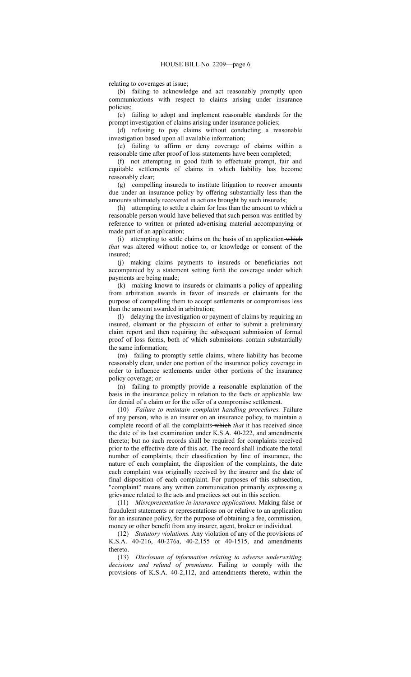relating to coverages at issue;

(b) failing to acknowledge and act reasonably promptly upon communications with respect to claims arising under insurance policies;

(c) failing to adopt and implement reasonable standards for the prompt investigation of claims arising under insurance policies;

(d) refusing to pay claims without conducting a reasonable investigation based upon all available information;

(e) failing to affirm or deny coverage of claims within a reasonable time after proof of loss statements have been completed;

(f) not attempting in good faith to effectuate prompt, fair and equitable settlements of claims in which liability has become reasonably clear;

(g) compelling insureds to institute litigation to recover amounts due under an insurance policy by offering substantially less than the amounts ultimately recovered in actions brought by such insureds;

(h) attempting to settle a claim for less than the amount to which a reasonable person would have believed that such person was entitled by reference to written or printed advertising material accompanying or made part of an application;

(i) attempting to settle claims on the basis of an application-which *that* was altered without notice to, or knowledge or consent of the insured;

(j) making claims payments to insureds or beneficiaries not accompanied by a statement setting forth the coverage under which payments are being made;

(k) making known to insureds or claimants a policy of appealing from arbitration awards in favor of insureds or claimants for the purpose of compelling them to accept settlements or compromises less than the amount awarded in arbitration;

(l) delaying the investigation or payment of claims by requiring an insured, claimant or the physician of either to submit a preliminary claim report and then requiring the subsequent submission of formal proof of loss forms, both of which submissions contain substantially the same information;

(m) failing to promptly settle claims, where liability has become reasonably clear, under one portion of the insurance policy coverage in order to influence settlements under other portions of the insurance policy coverage; or

(n) failing to promptly provide a reasonable explanation of the basis in the insurance policy in relation to the facts or applicable law for denial of a claim or for the offer of a compromise settlement.

(10) *Failure to maintain complaint handling procedures.* Failure of any person, who is an insurer on an insurance policy, to maintain a complete record of all the complaints which *that* it has received since the date of its last examination under K.S.A. 40-222, and amendments thereto; but no such records shall be required for complaints received prior to the effective date of this act. The record shall indicate the total number of complaints, their classification by line of insurance, the nature of each complaint, the disposition of the complaints, the date each complaint was originally received by the insurer and the date of final disposition of each complaint. For purposes of this subsection, "complaint" means any written communication primarily expressing a grievance related to the acts and practices set out in this section.

(11) *Misrepresentation in insurance applications.* Making false or fraudulent statements or representations on or relative to an application for an insurance policy, for the purpose of obtaining a fee, commission, money or other benefit from any insurer, agent, broker or individual.

(12) *Statutory violations.* Any violation of any of the provisions of K.S.A. 40-216, 40-276a, 40-2,155 or 40-1515, and amendments thereto.

(13) *Disclosure of information relating to adverse underwriting decisions and refund of premiums.* Failing to comply with the provisions of K.S.A. 40-2,112, and amendments thereto, within the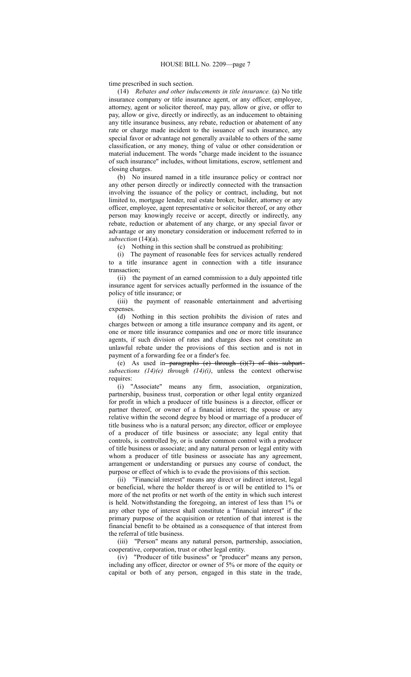## time prescribed in such section.

(14) *Rebates and other inducements in title insurance.* (a) No title insurance company or title insurance agent, or any officer, employee, attorney, agent or solicitor thereof, may pay, allow or give, or offer to pay, allow or give, directly or indirectly, as an inducement to obtaining any title insurance business, any rebate, reduction or abatement of any rate or charge made incident to the issuance of such insurance, any special favor or advantage not generally available to others of the same classification, or any money, thing of value or other consideration or material inducement. The words "charge made incident to the issuance of such insurance" includes, without limitations, escrow, settlement and closing charges.

(b) No insured named in a title insurance policy or contract nor any other person directly or indirectly connected with the transaction involving the issuance of the policy or contract, including, but not limited to, mortgage lender, real estate broker, builder, attorney or any officer, employee, agent representative or solicitor thereof, or any other person may knowingly receive or accept, directly or indirectly, any rebate, reduction or abatement of any charge, or any special favor or advantage or any monetary consideration or inducement referred to in *subsection* (14)(a).

(c) Nothing in this section shall be construed as prohibiting:

(i) The payment of reasonable fees for services actually rendered to a title insurance agent in connection with a title insurance transaction;

(ii) the payment of an earned commission to a duly appointed title insurance agent for services actually performed in the issuance of the policy of title insurance; or

(iii) the payment of reasonable entertainment and advertising expenses.

(d) Nothing in this section prohibits the division of rates and charges between or among a title insurance company and its agent, or one or more title insurance companies and one or more title insurance agents, if such division of rates and charges does not constitute an unlawful rebate under the provisions of this section and is not in payment of a forwarding fee or a finder's fee.

(e) As used in-paragraphs (e) through  $(i)(7)$  of this subpart*subsections*  $(14)(e)$  *through*  $(14)(i)$ , unless the context otherwise requires:

(i) "Associate" means any firm, association, organization, partnership, business trust, corporation or other legal entity organized for profit in which a producer of title business is a director, officer or partner thereof, or owner of a financial interest; the spouse or any relative within the second degree by blood or marriage of a producer of title business who is a natural person; any director, officer or employee of a producer of title business or associate; any legal entity that controls, is controlled by, or is under common control with a producer of title business or associate; and any natural person or legal entity with whom a producer of title business or associate has any agreement, arrangement or understanding or pursues any course of conduct, the purpose or effect of which is to evade the provisions of this section.

(ii) "Financial interest" means any direct or indirect interest, legal or beneficial, where the holder thereof is or will be entitled to 1% or more of the net profits or net worth of the entity in which such interest is held. Notwithstanding the foregoing, an interest of less than 1% or any other type of interest shall constitute a "financial interest" if the primary purpose of the acquisition or retention of that interest is the financial benefit to be obtained as a consequence of that interest from the referral of title business.

(iii) "Person" means any natural person, partnership, association, cooperative, corporation, trust or other legal entity.

(iv) "Producer of title business" or "producer" means any person, including any officer, director or owner of 5% or more of the equity or capital or both of any person, engaged in this state in the trade,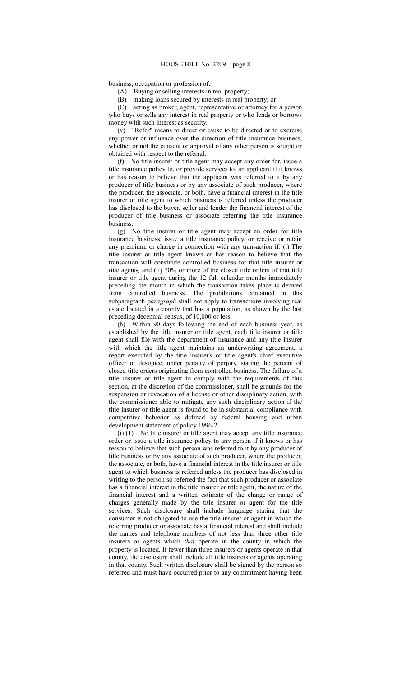business, occupation or profession of:

(A) Buying or selling interests in real property;

(B) making loans secured by interests in real property; or

(C) acting as broker, agent, representative or attorney for a person who buys or sells any interest in real property or who lends or borrows money with such interest as security.

(v) "Refer" means to direct or cause to be directed or to exercise any power or influence over the direction of title insurance business, whether or not the consent or approval of any other person is sought or obtained with respect to the referral.

(f) No title insurer or title agent may accept any order for, issue a title insurance policy to, or provide services to, an applicant if it knows or has reason to believe that the applicant was referred to it by any producer of title business or by any associate of such producer, where the producer, the associate, or both, have a financial interest in the title insurer or title agent to which business is referred unless the producer has disclosed to the buyer, seller and lender the financial interest of the producer of title business or associate referring the title insurance business.

(g) No title insurer or title agent may accept an order for title insurance business, issue a title insurance policy, or receive or retain any premium, or charge in connection with any transaction if: (i) The title insurer or title agent knows or has reason to believe that the transaction will constitute controlled business for that title insurer or title agent,*;* and (ii) 70% or more of the closed title orders of that title insurer or title agent during the 12 full calendar months immediately preceding the month in which the transaction takes place is derived from controlled business. The prohibitions contained in this subparagraph *paragraph* shall not apply to transactions involving real estate located in a county that has a population, as shown by the last preceding decennial census, of 10,000 or less.

(h) Within 90 days following the end of each business year, as established by the title insurer or title agent, each title insurer or title agent shall file with the department of insurance and any title insurer with which the title agent maintains an underwriting agreement, a report executed by the title insurer's or title agent's chief executive officer or designee, under penalty of perjury, stating the percent of closed title orders originating from controlled business. The failure of a title insurer or title agent to comply with the requirements of this section, at the discretion of the commissioner, shall be grounds for the suspension or revocation of a license or other disciplinary action, with the commissioner able to mitigate any such disciplinary action if the title insurer or title agent is found to be in substantial compliance with competitive behavior as defined by federal housing and urban development statement of policy 1996-2.

(i) (1) No title insurer or title agent may accept any title insurance order or issue a title insurance policy to any person if it knows or has reason to believe that such person was referred to it by any producer of title business or by any associate of such producer, where the producer, the associate, or both, have a financial interest in the title insurer or title agent to which business is referred unless the producer has disclosed in writing to the person so referred the fact that such producer or associate has a financial interest in the title insurer or title agent, the nature of the financial interest and a written estimate of the charge or range of charges generally made by the title insurer or agent for the title services. Such disclosure shall include language stating that the consumer is not obligated to use the title insurer or agent in which the referring producer or associate has a financial interest and shall include the names and telephone numbers of not less than three other title insurers or agents—which *that* operate in the county in which the property is located. If fewer than three insurers or agents operate in that county, the disclosure shall include all title insurers or agents operating in that county. Such written disclosure shall be signed by the person so referred and must have occurred prior to any commitment having been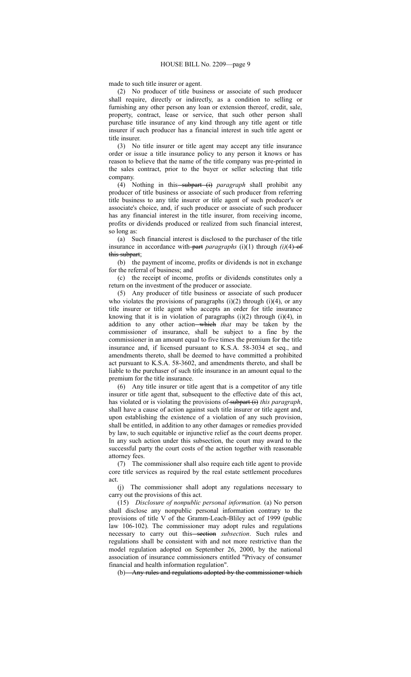made to such title insurer or agent.

(2) No producer of title business or associate of such producer shall require, directly or indirectly, as a condition to selling or furnishing any other person any loan or extension thereof, credit, sale, property, contract, lease or service, that such other person shall purchase title insurance of any kind through any title agent or title insurer if such producer has a financial interest in such title agent or title insurer.

(3) No title insurer or title agent may accept any title insurance order or issue a title insurance policy to any person it knows or has reason to believe that the name of the title company was pre-printed in the sales contract, prior to the buyer or seller selecting that title company.

(4) Nothing in this-subpart (i) paragraph shall prohibit any producer of title business or associate of such producer from referring title business to any title insurer or title agent of such producer's or associate's choice, and, if such producer or associate of such producer has any financial interest in the title insurer, from receiving income, profits or dividends produced or realized from such financial interest, so long as:

(a) Such financial interest is disclosed to the purchaser of the title insurance in accordance with part *paragraphs* (i)(1) through  $(i)(4)$  of this subpart;

(b) the payment of income, profits or dividends is not in exchange for the referral of business; and

(c) the receipt of income, profits or dividends constitutes only a return on the investment of the producer or associate.

(5) Any producer of title business or associate of such producer who violates the provisions of paragraphs (i)(2) through (i)(4), or any title insurer or title agent who accepts an order for title insurance knowing that it is in violation of paragraphs (i)(2) through (i)(4), in addition to any other action which *that* may be taken by the commissioner of insurance, shall be subject to a fine by the commissioner in an amount equal to five times the premium for the title insurance and, if licensed pursuant to K.S.A. 58-3034 et seq., and amendments thereto, shall be deemed to have committed a prohibited act pursuant to K.S.A. 58-3602, and amendments thereto, and shall be liable to the purchaser of such title insurance in an amount equal to the premium for the title insurance.

(6) Any title insurer or title agent that is a competitor of any title insurer or title agent that, subsequent to the effective date of this act, has violated or is violating the provisions of subpart (i) *this paragraph*, shall have a cause of action against such title insurer or title agent and, upon establishing the existence of a violation of any such provision, shall be entitled, in addition to any other damages or remedies provided by law, to such equitable or injunctive relief as the court deems proper. In any such action under this subsection, the court may award to the successful party the court costs of the action together with reasonable attorney fees.

(7) The commissioner shall also require each title agent to provide core title services as required by the real estate settlement procedures act.

(j) The commissioner shall adopt any regulations necessary to carry out the provisions of this act.

(15) *Disclosure of nonpublic personal information.* (a) No person shall disclose any nonpublic personal information contrary to the provisions of title V of the Gramm-Leach-Bliley act of 1999 (public law 106-102). The commissioner may adopt rules and regulations necessary to carry out this<del> section</del> *subsection*. Such rules and regulations shall be consistent with and not more restrictive than the model regulation adopted on September 26, 2000, by the national association of insurance commissioners entitled "Privacy of consumer financial and health information regulation".

(b) Any rules and regulations adopted by the commissioner which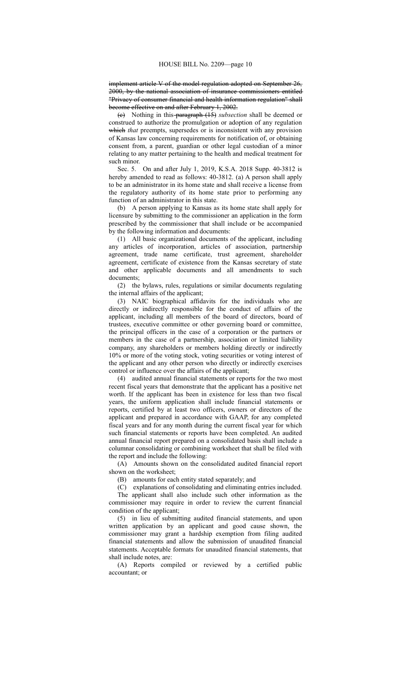implement article V of the model regulation adopted on September 26, 2000, by the national association of insurance commissioners entitled "Privacy of consumer financial and health information regulation" shall become effective on and after February 1, 2002.

(c) Nothing in this paragraph (15) *subsection* shall be deemed or construed to authorize the promulgation or adoption of any regulation which *that* preempts, supersedes or is inconsistent with any provision of Kansas law concerning requirements for notification of, or obtaining consent from, a parent, guardian or other legal custodian of a minor relating to any matter pertaining to the health and medical treatment for such minor.

Sec. 5. On and after July 1, 2019, K.S.A. 2018 Supp. 40-3812 is hereby amended to read as follows: 40-3812. (a) A person shall apply to be an administrator in its home state and shall receive a license from the regulatory authority of its home state prior to performing any function of an administrator in this state.

(b) A person applying to Kansas as its home state shall apply for licensure by submitting to the commissioner an application in the form prescribed by the commissioner that shall include or be accompanied by the following information and documents:

(1) All basic organizational documents of the applicant, including any articles of incorporation, articles of association, partnership agreement, trade name certificate, trust agreement, shareholder agreement, certificate of existence from the Kansas secretary of state and other applicable documents and all amendments to such documents;

(2) the bylaws, rules, regulations or similar documents regulating the internal affairs of the applicant;

(3) NAIC biographical affidavits for the individuals who are directly or indirectly responsible for the conduct of affairs of the applicant, including all members of the board of directors, board of trustees, executive committee or other governing board or committee, the principal officers in the case of a corporation or the partners or members in the case of a partnership, association or limited liability company, any shareholders or members holding directly or indirectly 10% or more of the voting stock, voting securities or voting interest of the applicant and any other person who directly or indirectly exercises control or influence over the affairs of the applicant;

(4) audited annual financial statements or reports for the two most recent fiscal years that demonstrate that the applicant has a positive net worth. If the applicant has been in existence for less than two fiscal years, the uniform application shall include financial statements or reports, certified by at least two officers, owners or directors of the applicant and prepared in accordance with GAAP, for any completed fiscal years and for any month during the current fiscal year for which such financial statements or reports have been completed. An audited annual financial report prepared on a consolidated basis shall include a columnar consolidating or combining worksheet that shall be filed with the report and include the following:

(A) Amounts shown on the consolidated audited financial report shown on the worksheet;

(B) amounts for each entity stated separately; and

(C) explanations of consolidating and eliminating entries included.

The applicant shall also include such other information as the commissioner may require in order to review the current financial condition of the applicant;

(5) in lieu of submitting audited financial statements, and upon written application by an applicant and good cause shown, the commissioner may grant a hardship exemption from filing audited financial statements and allow the submission of unaudited financial statements. Acceptable formats for unaudited financial statements, that shall include notes, are:

(A) Reports compiled or reviewed by a certified public accountant; or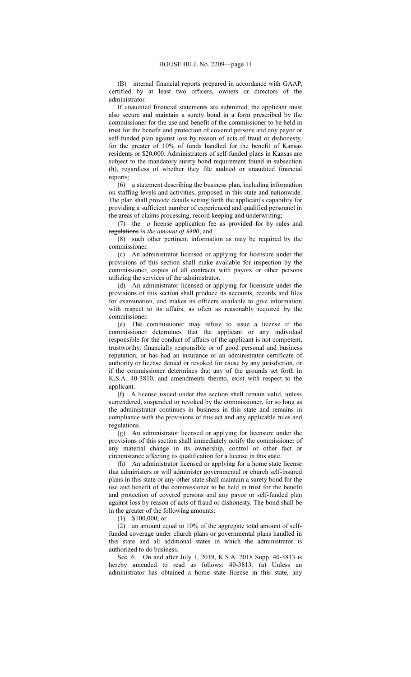(B) internal financial reports prepared in accordance with GAAP, certified by at least two officers, owners or directors of the administrator.

If unaudited financial statements are submitted, the applicant must also secure and maintain a surety bond in a form prescribed by the commissioner for the use and benefit of the commissioner to be held in trust for the benefit and protection of covered persons and any payor or self-funded plan against loss by reason of acts of fraud or dishonesty, for the greater of 10% of funds handled for the benefit of Kansas residents or \$20,000. Administrators of self-funded plans in Kansas are subject to the mandatory surety bond requirement found in subsection (h), regardless of whether they file audited or unaudited financial reports;

(6) a statement describing the business plan, including information on staffing levels and activities, proposed in this state and nationwide. The plan shall provide details setting forth the applicant's capability for providing a sufficient number of experienced and qualified personnel in the areas of claims processing, record keeping and underwriting;

(7) the *a* license application fee as provided for by rules and regulations *in the amount of \$400*; and

(8) such other pertinent information as may be required by the commissioner.

(c) An administrator licensed or applying for licensure under the provisions of this section shall make available for inspection by the commissioner, copies of all contracts with payors or other persons utilizing the services of the administrator.

(d) An administrator licensed or applying for licensure under the provisions of this section shall produce its accounts, records and files for examination, and makes its officers available to give information with respect to its affairs, as often as reasonably required by the commissioner.

(e) The commissioner may refuse to issue a license if the commissioner determines that the applicant or any individual responsible for the conduct of affairs of the applicant is not competent, trustworthy, financially responsible or of good personal and business reputation, or has had an insurance or an administrator certificate of authority or license denied or revoked for cause by any jurisdiction, or if the commissioner determines that any of the grounds set forth in K.S.A. 40-3810, and amendments thereto, exist with respect to the applicant.

(f) A license issued under this section shall remain valid, unless surrendered, suspended or revoked by the commissioner, for so long as the administrator continues in business in this state and remains in compliance with the provisions of this act and any applicable rules and regulations.

(g) An administrator licensed or applying for licensure under the provisions of this section shall immediately notify the commissioner of any material change in its ownership, control or other fact or circumstance affecting its qualification for a license in this state.

(h) An administrator licensed or applying for a home state license that administers or will administer governmental or church self-insured plans in this state or any other state shall maintain a surety bond for the use and benefit of the commissioner to be held in trust for the benefit and protection of covered persons and any payor or self-funded plan against loss by reason of acts of fraud or dishonesty. The bond shall be in the greater of the following amounts:

(1) \$100,000; or

(2) an amount equal to 10% of the aggregate total amount of selffunded coverage under church plans or governmental plans handled in this state and all additional states in which the administrator is authorized to do business.

Sec. 6. On and after July 1, 2019, K.S.A. 2018 Supp. 40-3813 is hereby amended to read as follows: 40-3813. (a) Unless an administrator has obtained a home state license in this state, any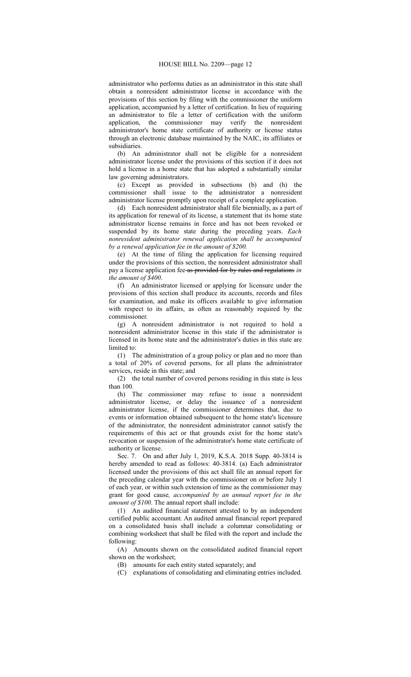administrator who performs duties as an administrator in this state shall obtain a nonresident administrator license in accordance with the provisions of this section by filing with the commissioner the uniform application, accompanied by a letter of certification. In lieu of requiring an administrator to file a letter of certification with the uniform application, the commissioner may verify the nonresident administrator's home state certificate of authority or license status through an electronic database maintained by the NAIC, its affiliates or subsidiaries.

(b) An administrator shall not be eligible for a nonresident administrator license under the provisions of this section if it does not hold a license in a home state that has adopted a substantially similar law governing administrators.

(c) Except as provided in subsections (b) and (h) the commissioner shall issue to the administrator a nonresident administrator license promptly upon receipt of a complete application.

(d) Each nonresident administrator shall file biennially, as a part of its application for renewal of its license, a statement that its home state administrator license remains in force and has not been revoked or suspended by its home state during the preceding years. *Each nonresident administrator renewal application shall be accompanied by a renewal application fee in the amount of \$200.*

(e) At the time of filing the application for licensing required under the provisions of this section, the nonresident administrator shall pay a license application fee as provided for by rules and regulations *in the amount of \$400*.

(f) An administrator licensed or applying for licensure under the provisions of this section shall produce its accounts, records and files for examination, and make its officers available to give information with respect to its affairs, as often as reasonably required by the commissioner.

(g) A nonresident administrator is not required to hold a nonresident administrator license in this state if the administrator is licensed in its home state and the administrator's duties in this state are limited to:

(1) The administration of a group policy or plan and no more than a total of 20% of covered persons, for all plans the administrator services, reside in this state; and

(2) the total number of covered persons residing in this state is less than 100.

(h) The commissioner may refuse to issue a nonresident administrator license, or delay the issuance of a nonresident administrator license, if the commissioner determines that, due to events or information obtained subsequent to the home state's licensure of the administrator, the nonresident administrator cannot satisfy the requirements of this act or that grounds exist for the home state's revocation or suspension of the administrator's home state certificate of authority or license.

Sec. 7. On and after July 1, 2019, K.S.A. 2018 Supp. 40-3814 is hereby amended to read as follows: 40-3814. (a) Each administrator licensed under the provisions of this act shall file an annual report for the preceding calendar year with the commissioner on or before July 1 of each year, or within such extension of time as the commissioner may grant for good cause*, accompanied by an annual report fee in the amount of \$100*. The annual report shall include:

(1) An audited financial statement attested to by an independent certified public accountant. An audited annual financial report prepared on a consolidated basis shall include a columnar consolidating or combining worksheet that shall be filed with the report and include the following:

(A) Amounts shown on the consolidated audited financial report shown on the worksheet;

(B) amounts for each entity stated separately; and

(C) explanations of consolidating and eliminating entries included.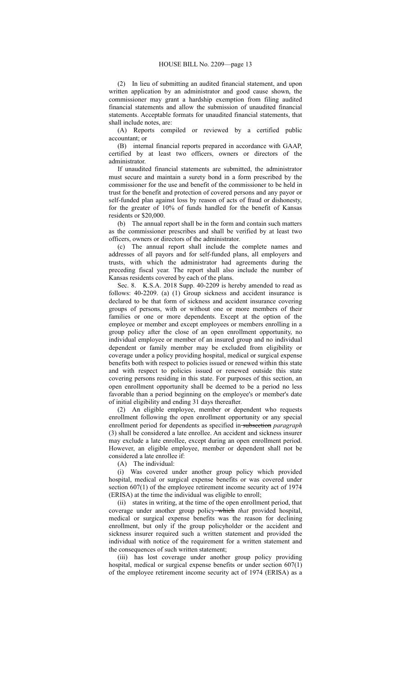(2) In lieu of submitting an audited financial statement, and upon written application by an administrator and good cause shown, the commissioner may grant a hardship exemption from filing audited financial statements and allow the submission of unaudited financial statements. Acceptable formats for unaudited financial statements, that shall include notes, are:

(A) Reports compiled or reviewed by a certified public accountant; or

(B) internal financial reports prepared in accordance with GAAP, certified by at least two officers, owners or directors of the administrator.

If unaudited financial statements are submitted, the administrator must secure and maintain a surety bond in a form prescribed by the commissioner for the use and benefit of the commissioner to be held in trust for the benefit and protection of covered persons and any payor or self-funded plan against loss by reason of acts of fraud or dishonesty, for the greater of 10% of funds handled for the benefit of Kansas residents or \$20,000.

(b) The annual report shall be in the form and contain such matters as the commissioner prescribes and shall be verified by at least two officers, owners or directors of the administrator.

(c) The annual report shall include the complete names and addresses of all payors and for self-funded plans, all employers and trusts, with which the administrator had agreements during the preceding fiscal year. The report shall also include the number of Kansas residents covered by each of the plans.

Sec. 8. K.S.A. 2018 Supp. 40-2209 is hereby amended to read as follows: 40-2209. (a) (1) Group sickness and accident insurance is declared to be that form of sickness and accident insurance covering groups of persons, with or without one or more members of their families or one or more dependents. Except at the option of the employee or member and except employees or members enrolling in a group policy after the close of an open enrollment opportunity, no individual employee or member of an insured group and no individual dependent or family member may be excluded from eligibility or coverage under a policy providing hospital, medical or surgical expense benefits both with respect to policies issued or renewed within this state and with respect to policies issued or renewed outside this state covering persons residing in this state. For purposes of this section, an open enrollment opportunity shall be deemed to be a period no less favorable than a period beginning on the employee's or member's date of initial eligibility and ending 31 days thereafter.

(2) An eligible employee, member or dependent who requests enrollment following the open enrollment opportunity or any special enrollment period for dependents as specified in subsection *paragraph* (3) shall be considered a late enrollee. An accident and sickness insurer may exclude a late enrollee, except during an open enrollment period. However, an eligible employee, member or dependent shall not be considered a late enrollee if:

(A) The individual:

(i) Was covered under another group policy which provided hospital, medical or surgical expense benefits or was covered under section 607(1) of the employee retirement income security act of 1974 (ERISA) at the time the individual was eligible to enroll;

(ii) states in writing, at the time of the open enrollment period, that coverage under another group policy which *that* provided hospital, medical or surgical expense benefits was the reason for declining enrollment, but only if the group policyholder or the accident and sickness insurer required such a written statement and provided the individual with notice of the requirement for a written statement and the consequences of such written statement;

(iii) has lost coverage under another group policy providing hospital, medical or surgical expense benefits or under section 607(1) of the employee retirement income security act of 1974 (ERISA) as a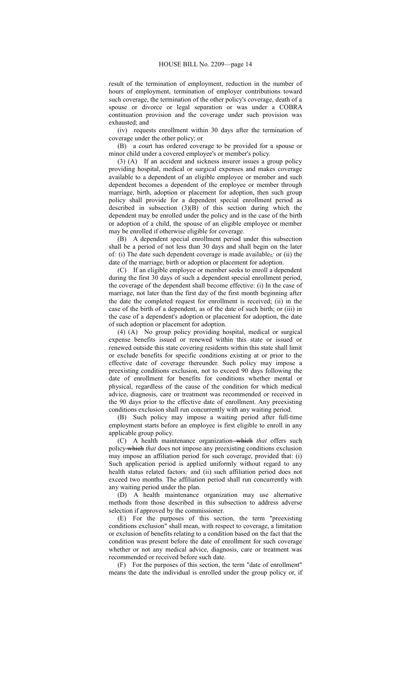result of the termination of employment, reduction in the number of hours of employment, termination of employer contributions toward such coverage, the termination of the other policy's coverage, death of a spouse or divorce or legal separation or was under a COBRA continuation provision and the coverage under such provision was exhausted; and

(iv) requests enrollment within 30 days after the termination of coverage under the other policy; or

(B) a court has ordered coverage to be provided for a spouse or minor child under a covered employee's or member's policy.

(3) (A) If an accident and sickness insurer issues a group policy providing hospital, medical or surgical expenses and makes coverage available to a dependent of an eligible employee or member and such dependent becomes a dependent of the employee or member through marriage, birth, adoption or placement for adoption, then such group policy shall provide for a dependent special enrollment period as described in subsection (3)(B) of this section during which the dependent may be enrolled under the policy and in the case of the birth or adoption of a child, the spouse of an eligible employee or member may be enrolled if otherwise eligible for coverage.

(B) A dependent special enrollment period under this subsection shall be a period of not less than 30 days and shall begin on the later of*:* (i) The date such dependent coverage is made available,*;* or (ii) the date of the marriage, birth or adoption or placement for adoption.

(C) If an eligible employee or member seeks to enroll a dependent during the first 30 days of such a dependent special enrollment period, the coverage of the dependent shall become effective: (i) In the case of marriage, not later than the first day of the first month beginning after the date the completed request for enrollment is received; (ii) in the case of the birth of a dependent, as of the date of such birth; or (iii) in the case of a dependent's adoption or placement for adoption, the date of such adoption or placement for adoption.

(4) (A) No group policy providing hospital, medical or surgical expense benefits issued or renewed within this state or issued or renewed outside this state covering residents within this state shall limit or exclude benefits for specific conditions existing at or prior to the effective date of coverage thereunder. Such policy may impose a preexisting conditions exclusion, not to exceed 90 days following the date of enrollment for benefits for conditions whether mental or physical, regardless of the cause of the condition for which medical advice, diagnosis, care or treatment was recommended or received in the 90 days prior to the effective date of enrollment. Any preexisting conditions exclusion shall run concurrently with any waiting period.

(B) Such policy may impose a waiting period after full-time employment starts before an employee is first eligible to enroll in any applicable group policy.

(C) A health maintenance organization which *that* offers such policy which *that* does not impose any preexisting conditions exclusion may impose an affiliation period for such coverage, provided that: (i) Such application period is applied uniformly without regard to any health status related factors*;* and (ii) such affiliation period does not exceed two months. The affiliation period shall run concurrently with any waiting period under the plan.

(D) A health maintenance organization may use alternative methods from those described in this subsection to address adverse selection if approved by the commissioner.

(E) For the purposes of this section, the term "preexisting conditions exclusion" shall mean, with respect to coverage, a limitation or exclusion of benefits relating to a condition based on the fact that the condition was present before the date of enrollment for such coverage whether or not any medical advice, diagnosis, care or treatment was recommended or received before such date.

(F) For the purposes of this section, the term "date of enrollment" means the date the individual is enrolled under the group policy or, if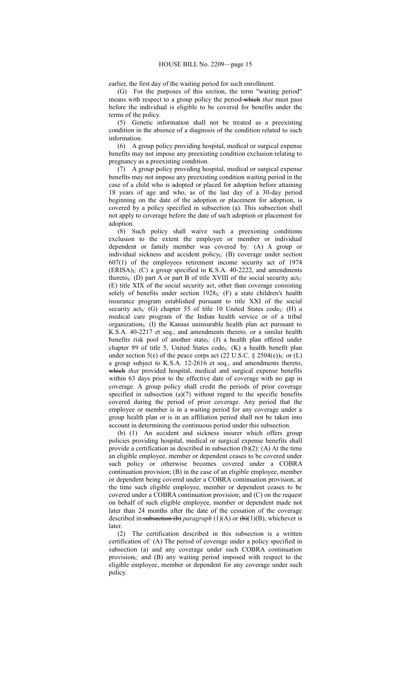earlier, the first day of the waiting period for such enrollment.

(G) For the purposes of this section, the term "waiting period" means with respect to a group policy the period which *that* must pass before the individual is eligible to be covered for benefits under the terms of the policy.

(5) Genetic information shall not be treated as a preexisting condition in the absence of a diagnosis of the condition related to such information.

(6) A group policy providing hospital, medical or surgical expense benefits may not impose any preexisting condition exclusion relating to pregnancy as a preexisting condition.

(7) A group policy providing hospital, medical or surgical expense benefits may not impose any preexisting condition waiting period in the case of a child who is adopted or placed for adoption before attaining 18 years of age and who, as of the last day of a 30-day period beginning on the date of the adoption or placement for adoption, is covered by a policy specified in subsection (a). This subsection shall not apply to coverage before the date of such adoption or placement for adoption.

(8) Such policy shall waive such a preexisting conditions exclusion to the extent the employee or member or individual dependent or family member was covered by*:* (A) A group or individual sickness and accident policy,*;* (B) coverage under section 607(1) of the employees retirement income security act of 1974 (ERISA),*;* (C) a group specified in K.S.A. 40-2222, and amendments thereto,*;* (D) part A or part B of title XVIII of the social security act,*;* (E) title XIX of the social security act, other than coverage consisting solely of benefits under section 1928,*;* (F) a state children's health insurance program established pursuant to title XXI of the social security act,*;* (G) chapter 55 of title 10 United States code,*;* (H) a medical care program of the Indian health service or of a tribal organization,*;* (I) the Kansas uninsurable health plan act pursuant to K.S.A. 40-2217 et seq., and amendments thereto*,* or a similar health benefits risk pool of another state,*;* (J) a health plan offered under chapter 89 of title 5, United States code,*;* (K) a health benefit plan under section 5(e) of the peace corps act (22 U.S.C. § 2504(e)),*;* or (L) a group subject to K.S.A. 12-2616 et seq., and amendments thereto, which *that* provided hospital, medical and surgical expense benefits within 63 days prior to the effective date of coverage with no gap in coverage. A group policy shall credit the periods of prior coverage specified in subsection  $(a)(7)$  without regard to the specific benefits covered during the period of prior coverage. Any period that the employee or member is in a waiting period for any coverage under a group health plan or is in an affiliation period shall not be taken into account in determining the continuous period under this subsection.

(b) (1) An accident and sickness insurer which offers group policies providing hospital, medical or surgical expense benefits shall provide a certification as described in subsection  $(b)(2)$ : (A) At the time an eligible employee, member or dependent ceases to be covered under such policy or otherwise becomes covered under a COBRA continuation provision; (B) in the case of an eligible employee, member or dependent being covered under a COBRA continuation provision, at the time such eligible employee, member or dependent ceases to be covered under a COBRA continuation provision; and (C) on the request on behalf of such eligible employee, member or dependent made not later than 24 months after the date of the cessation of the coverage described in subsection (b) paragraph (1)(A) or (b)(1)(B), whichever is later.

(2) The certification described in this subsection is a written certification of*:* (A) The period of coverage under a policy specified in subsection (a) and any coverage under such COBRA continuation provision,*;* and (B) any waiting period imposed with respect to the eligible employee, member or dependent for any coverage under such policy.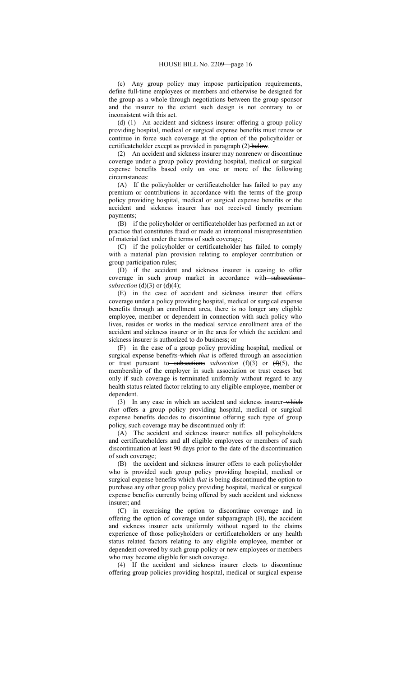(c) Any group policy may impose participation requirements, define full-time employees or members and otherwise be designed for the group as a whole through negotiations between the group sponsor and the insurer to the extent such design is not contrary to or inconsistent with this act.

(d) (1) An accident and sickness insurer offering a group policy providing hospital, medical or surgical expense benefits must renew or continue in force such coverage at the option of the policyholder or certificateholder except as provided in paragraph (2)-below.

(2) An accident and sickness insurer may nonrenew or discontinue coverage under a group policy providing hospital, medical or surgical expense benefits based only on one or more of the following circumstances:

(A) If the policyholder or certificateholder has failed to pay any premium or contributions in accordance with the terms of the group policy providing hospital, medical or surgical expense benefits or the accident and sickness insurer has not received timely premium payments;

(B) if the policyholder or certificateholder has performed an act or practice that constitutes fraud or made an intentional misrepresentation of material fact under the terms of such coverage;

(C) if the policyholder or certificateholder has failed to comply with a material plan provision relating to employer contribution or group participation rules;

(D) if the accident and sickness insurer is ceasing to offer coverage in such group market in accordance with subsections *subsection* (d)(3) or  $\left(\frac{d}{d}\right)$ (4);

(E) in the case of accident and sickness insurer that offers coverage under a policy providing hospital, medical or surgical expense benefits through an enrollment area, there is no longer any eligible employee, member or dependent in connection with such policy who lives, resides or works in the medical service enrollment area of the accident and sickness insurer or in the area for which the accident and sickness insurer is authorized to do business; or

(F) in the case of a group policy providing hospital, medical or surgical expense benefits which *that* is offered through an association or trust pursuant to subsections *subsection* (f)(3) or  $(f)(3)$ , the membership of the employer in such association or trust ceases but only if such coverage is terminated uniformly without regard to any health status related factor relating to any eligible employee, member or dependent.

(3) In any case in which an accident and sickness insurer-which *that* offers a group policy providing hospital, medical or surgical expense benefits decides to discontinue offering such type of group policy, such coverage may be discontinued only if:

(A) The accident and sickness insurer notifies all policyholders and certificateholders and all eligible employees or members of such discontinuation at least 90 days prior to the date of the discontinuation of such coverage;

(B) the accident and sickness insurer offers to each policyholder who is provided such group policy providing hospital, medical or surgical expense benefits which *that* is being discontinued the option to purchase any other group policy providing hospital, medical or surgical expense benefits currently being offered by such accident and sickness insurer; and

(C) in exercising the option to discontinue coverage and in offering the option of coverage under subparagraph (B), the accident and sickness insurer acts uniformly without regard to the claims experience of those policyholders or certificateholders or any health status related factors relating to any eligible employee, member or dependent covered by such group policy or new employees or members who may become eligible for such coverage.

(4) If the accident and sickness insurer elects to discontinue offering group policies providing hospital, medical or surgical expense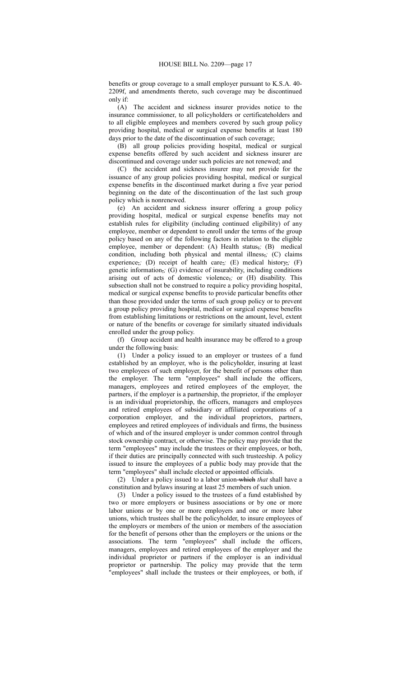benefits or group coverage to a small employer pursuant to K.S.A. 40- 2209f, and amendments thereto, such coverage may be discontinued only if:

(A) The accident and sickness insurer provides notice to the insurance commissioner, to all policyholders or certificateholders and to all eligible employees and members covered by such group policy providing hospital, medical or surgical expense benefits at least 180 days prior to the date of the discontinuation of such coverage;

(B) all group policies providing hospital, medical or surgical expense benefits offered by such accident and sickness insurer are discontinued and coverage under such policies are not renewed; and

(C) the accident and sickness insurer may not provide for the issuance of any group policies providing hospital, medical or surgical expense benefits in the discontinued market during a five year period beginning on the date of the discontinuation of the last such group policy which is nonrenewed.

(e) An accident and sickness insurer offering a group policy providing hospital, medical or surgical expense benefits may not establish rules for eligibility (including continued eligibility) of any employee, member or dependent to enroll under the terms of the group policy based on any of the following factors in relation to the eligible employee, member or dependent: (A) Health status<sub>7</sub>; (B) medical condition, including both physical and mental illness,*;* (C) claims experience,*;* (D) receipt of health care,*;* (E) medical history,*;* (F) genetic information,*;* (G) evidence of insurability, including conditions arising out of acts of domestic violence,*;* or (H) disability. This subsection shall not be construed to require a policy providing hospital, medical or surgical expense benefits to provide particular benefits other than those provided under the terms of such group policy or to prevent a group policy providing hospital, medical or surgical expense benefits from establishing limitations or restrictions on the amount, level, extent or nature of the benefits or coverage for similarly situated individuals enrolled under the group policy.

(f) Group accident and health insurance may be offered to a group under the following basis:

(1) Under a policy issued to an employer or trustees of a fund established by an employer, who is the policyholder, insuring at least two employees of such employer, for the benefit of persons other than the employer. The term "employees" shall include the officers, managers, employees and retired employees of the employer, the partners, if the employer is a partnership, the proprietor, if the employer is an individual proprietorship, the officers, managers and employees and retired employees of subsidiary or affiliated corporations of a corporation employer, and the individual proprietors, partners, employees and retired employees of individuals and firms, the business of which and of the insured employer is under common control through stock ownership contract, or otherwise. The policy may provide that the term "employees" may include the trustees or their employees, or both, if their duties are principally connected with such trusteeship. A policy issued to insure the employees of a public body may provide that the term "employees" shall include elected or appointed officials.

(2) Under a policy issued to a labor union which *that* shall have a constitution and bylaws insuring at least 25 members of such union.

(3) Under a policy issued to the trustees of a fund established by two or more employers or business associations or by one or more labor unions or by one or more employers and one or more labor unions, which trustees shall be the policyholder, to insure employees of the employers or members of the union or members of the association for the benefit of persons other than the employers or the unions or the associations. The term "employees" shall include the officers, managers, employees and retired employees of the employer and the individual proprietor or partners if the employer is an individual proprietor or partnership. The policy may provide that the term "employees" shall include the trustees or their employees, or both, if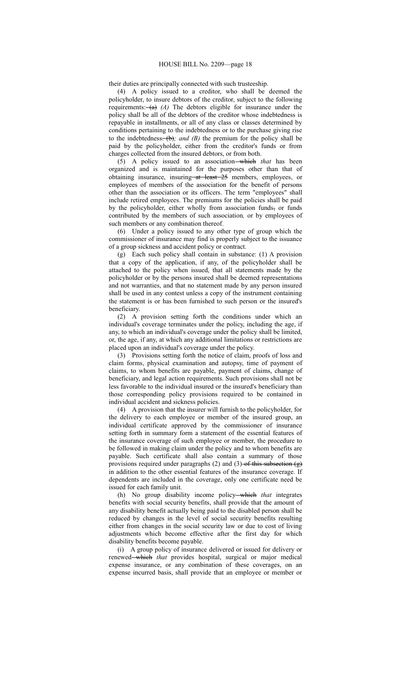their duties are principally connected with such trusteeship.

(4) A policy issued to a creditor, who shall be deemed the policyholder, to insure debtors of the creditor, subject to the following requirements: $(a)$  (A) The debtors eligible for insurance under the policy shall be all of the debtors of the creditor whose indebtedness is repayable in installments, or all of any class or classes determined by conditions pertaining to the indebtedness or to the purchase giving rise to the indebtedness.  $(b)$ *; and (B)* the premium for the policy shall be paid by the policyholder, either from the creditor's funds or from charges collected from the insured debtors, or from both.

(5) A policy issued to an association which *that* has been organized and is maintained for the purposes other than that of obtaining insurance, insuring at least 25 members, employees, or employees of members of the association for the benefit of persons other than the association or its officers. The term "employees" shall include retired employees. The premiums for the policies shall be paid by the policyholder, either wholly from association funds, or funds contributed by the members of such association*,* or by employees of such members or any combination thereof.

(6) Under a policy issued to any other type of group which the commissioner of insurance may find is properly subject to the issuance of a group sickness and accident policy or contract.

(g) Each such policy shall contain in substance: (1) A provision that a copy of the application, if any, of the policyholder shall be attached to the policy when issued, that all statements made by the policyholder or by the persons insured shall be deemed representations and not warranties, and that no statement made by any person insured shall be used in any contest unless a copy of the instrument containing the statement is or has been furnished to such person or the insured's beneficiary.

(2) A provision setting forth the conditions under which an individual's coverage terminates under the policy, including the age, if any, to which an individual's coverage under the policy shall be limited, or, the age, if any, at which any additional limitations or restrictions are placed upon an individual's coverage under the policy.

(3) Provisions setting forth the notice of claim, proofs of loss and claim forms, physical examination and autopsy, time of payment of claims, to whom benefits are payable, payment of claims, change of beneficiary, and legal action requirements. Such provisions shall not be less favorable to the individual insured or the insured's beneficiary than those corresponding policy provisions required to be contained in individual accident and sickness policies.

(4) A provision that the insurer will furnish to the policyholder, for the delivery to each employee or member of the insured group, an individual certificate approved by the commissioner of insurance setting forth in summary form a statement of the essential features of the insurance coverage of such employee or member, the procedure to be followed in making claim under the policy and to whom benefits are payable. Such certificate shall also contain a summary of those provisions required under paragraphs  $(2)$  and  $(3)$ -of this subsection  $(g)$ in addition to the other essential features of the insurance coverage. If dependents are included in the coverage, only one certificate need be issued for each family unit.

(h) No group disability income policy which *that* integrates benefits with social security benefits, shall provide that the amount of any disability benefit actually being paid to the disabled person shall be reduced by changes in the level of social security benefits resulting either from changes in the social security law or due to cost of living adjustments which become effective after the first day for which disability benefits become payable.

(i) A group policy of insurance delivered or issued for delivery or renewed which *that* provides hospital, surgical or major medical expense insurance, or any combination of these coverages, on an expense incurred basis, shall provide that an employee or member or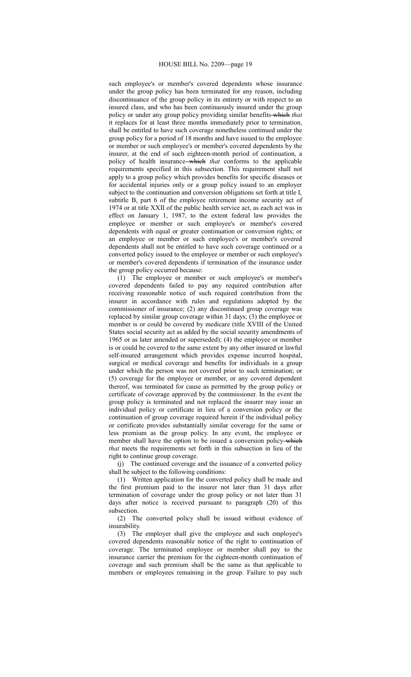such employee's or member's covered dependents whose insurance under the group policy has been terminated for any reason, including discontinuance of the group policy in its entirety or with respect to an insured class, and who has been continuously insured under the group policy or under any group policy providing similar benefits which *that* it replaces for at least three months immediately prior to termination, shall be entitled to have such coverage nonetheless continued under the group policy for a period of 18 months and have issued to the employee or member or such employee's or member's covered dependents by the insurer, at the end of such eighteen-month period of continuation, a policy of health insurance which *that* conforms to the applicable requirements specified in this subsection. This requirement shall not apply to a group policy which provides benefits for specific diseases or for accidental injuries only or a group policy issued to an employer subject to the continuation and conversion obligations set forth at title I, subtitle B, part 6 of the employee retirement income security act of 1974 or at title XXII of the public health service act, as each act was in effect on January 1, 1987, to the extent federal law provides the employee or member or such employee's or member's covered dependents with equal or greater continuation or conversion rights; or an employee or member or such employee's or member's covered dependents shall not be entitled to have such coverage continued or a converted policy issued to the employee or member or such employee's or member's covered dependents if termination of the insurance under the group policy occurred because:

(1) The employee or member or such employee's or member's covered dependents failed to pay any required contribution after receiving reasonable notice of such required contribution from the insurer in accordance with rules and regulations adopted by the commissioner of insurance; (2) any discontinued group coverage was replaced by similar group coverage within 31 days; (3) the employee or member is or could be covered by medicare (title XVIII of the United States social security act as added by the social security amendments of 1965 or as later amended or superseded); (4) the employee or member is or could be covered to the same extent by any other insured or lawful self-insured arrangement which provides expense incurred hospital, surgical or medical coverage and benefits for individuals in a group under which the person was not covered prior to such termination; or (5) coverage for the employee or member, or any covered dependent thereof, was terminated for cause as permitted by the group policy or certificate of coverage approved by the commissioner. In the event the group policy is terminated and not replaced the insurer may issue an individual policy or certificate in lieu of a conversion policy or the continuation of group coverage required herein if the individual policy or certificate provides substantially similar coverage for the same or less premium as the group policy. In any event, the employee or member shall have the option to be issued a conversion policy-which *that* meets the requirements set forth in this subsection in lieu of the right to continue group coverage.

(j) The continued coverage and the issuance of a converted policy shall be subject to the following conditions:

(1) Written application for the converted policy shall be made and the first premium paid to the insurer not later than 31 days after termination of coverage under the group policy or not later than 31 days after notice is received pursuant to paragraph (20) of this subsection.

(2) The converted policy shall be issued without evidence of insurability.

(3) The employer shall give the employee and such employee's covered dependents reasonable notice of the right to continuation of coverage. The terminated employee or member shall pay to the insurance carrier the premium for the eighteen-month continuation of coverage and such premium shall be the same as that applicable to members or employees remaining in the group. Failure to pay such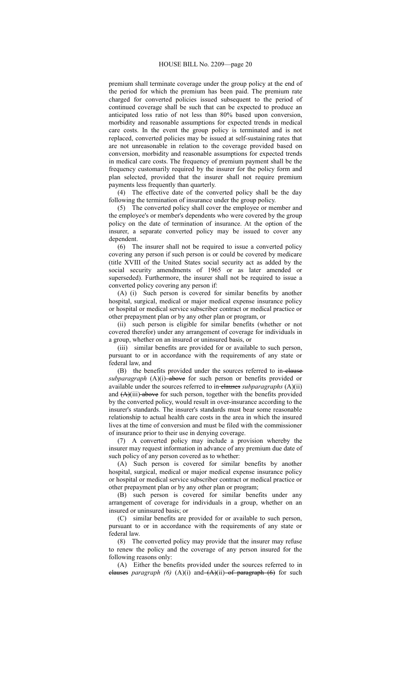premium shall terminate coverage under the group policy at the end of the period for which the premium has been paid. The premium rate charged for converted policies issued subsequent to the period of continued coverage shall be such that can be expected to produce an anticipated loss ratio of not less than 80% based upon conversion, morbidity and reasonable assumptions for expected trends in medical care costs. In the event the group policy is terminated and is not replaced, converted policies may be issued at self-sustaining rates that are not unreasonable in relation to the coverage provided based on conversion, morbidity and reasonable assumptions for expected trends in medical care costs. The frequency of premium payment shall be the frequency customarily required by the insurer for the policy form and plan selected, provided that the insurer shall not require premium payments less frequently than quarterly.

(4) The effective date of the converted policy shall be the day following the termination of insurance under the group policy.

(5) The converted policy shall cover the employee or member and the employee's or member's dependents who were covered by the group policy on the date of termination of insurance. At the option of the insurer, a separate converted policy may be issued to cover any dependent.

(6) The insurer shall not be required to issue a converted policy covering any person if such person is or could be covered by medicare (title XVIII of the United States social security act as added by the social security amendments of 1965 or as later amended or superseded). Furthermore, the insurer shall not be required to issue a converted policy covering any person if:

(A) (i) Such person is covered for similar benefits by another hospital, surgical, medical or major medical expense insurance policy or hospital or medical service subscriber contract or medical practice or other prepayment plan or by any other plan or program, or

(ii) such person is eligible for similar benefits (whether or not covered therefor) under any arrangement of coverage for individuals in a group, whether on an insured or uninsured basis, or

(iii) similar benefits are provided for or available to such person, pursuant to or in accordance with the requirements of any state or federal law, and

 $(B)$  the benefits provided under the sources referred to in-elause subparagraph (A)(i)-above for such person or benefits provided or available under the sources referred to in-elauses *subparagraphs* (A)(ii) and  $(A)(iii)$  above for such person, together with the benefits provided by the converted policy, would result in over-insurance according to the insurer's standards. The insurer's standards must bear some reasonable relationship to actual health care costs in the area in which the insured lives at the time of conversion and must be filed with the commissioner of insurance prior to their use in denying coverage.

(7) A converted policy may include a provision whereby the insurer may request information in advance of any premium due date of such policy of any person covered as to whether:

(A) Such person is covered for similar benefits by another hospital, surgical, medical or major medical expense insurance policy or hospital or medical service subscriber contract or medical practice or other prepayment plan or by any other plan or program;

(B) such person is covered for similar benefits under any arrangement of coverage for individuals in a group, whether on an insured or uninsured basis; or

(C) similar benefits are provided for or available to such person, pursuant to or in accordance with the requirements of any state or federal law.

(8) The converted policy may provide that the insurer may refuse to renew the policy and the coverage of any person insured for the following reasons only:

(A) Either the benefits provided under the sources referred to in elauses *paragraph* (6) (A)(i) and  $(A)(ii)$  of paragraph (6) for such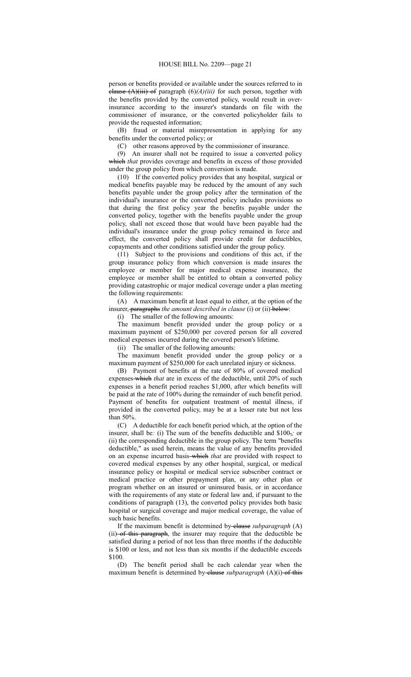person or benefits provided or available under the sources referred to in clause  $(A)$ (iii) of paragraph  $(6)$ (*A*)(iii) for such person, together with the benefits provided by the converted policy, would result in overinsurance according to the insurer's standards on file with the commissioner of insurance, or the converted policyholder fails to provide the requested information;

(B) fraud or material misrepresentation in applying for any benefits under the converted policy; or

(C) other reasons approved by the commissioner of insurance.

(9) An insurer shall not be required to issue a converted policy which *that* provides coverage and benefits in excess of those provided under the group policy from which conversion is made.

(10) If the converted policy provides that any hospital, surgical or medical benefits payable may be reduced by the amount of any such benefits payable under the group policy after the termination of the individual's insurance or the converted policy includes provisions so that during the first policy year the benefits payable under the converted policy, together with the benefits payable under the group policy, shall not exceed those that would have been payable had the individual's insurance under the group policy remained in force and effect, the converted policy shall provide credit for deductibles, copayments and other conditions satisfied under the group policy.

(11) Subject to the provisions and conditions of this act, if the group insurance policy from which conversion is made insures the employee or member for major medical expense insurance, the employee or member shall be entitled to obtain a converted policy providing catastrophic or major medical coverage under a plan meeting the following requirements:

(A) A maximum benefit at least equal to either, at the option of the insurer, paragraphs *the amount described in clause* (i) or (ii) below:

(i) The smaller of the following amounts:

The maximum benefit provided under the group policy or a maximum payment of \$250,000 per covered person for all covered medical expenses incurred during the covered person's lifetime.

(ii) The smaller of the following amounts:

The maximum benefit provided under the group policy or a maximum payment of \$250,000 for each unrelated injury or sickness.

(B) Payment of benefits at the rate of 80% of covered medical expenses which *that* are in excess of the deductible, until 20% of such expenses in a benefit period reaches \$1,000, after which benefits will be paid at the rate of 100% during the remainder of such benefit period. Payment of benefits for outpatient treatment of mental illness, if provided in the converted policy, may be at a lesser rate but not less than 50%.

(C) A deductible for each benefit period which, at the option of the insurer, shall be*:* (i) The sum of the benefits deductible and \$100,*;* or (ii) the corresponding deductible in the group policy. The term "benefits deductible," as used herein, means the value of any benefits provided on an expense incurred basis which *that* are provided with respect to covered medical expenses by any other hospital, surgical, or medical insurance policy or hospital or medical service subscriber contract or medical practice or other prepayment plan, or any other plan or program whether on an insured or uninsured basis, or in accordance with the requirements of any state or federal law and, if pursuant to the conditions of paragraph (13), the converted policy provides both basic hospital or surgical coverage and major medical coverage, the value of such basic benefits.

If the maximum benefit is determined by-elause *subparagraph* (A)  $(ii)$  of this paragraph, the insurer may require that the deductible be satisfied during a period of not less than three months if the deductible is \$100 or less, and not less than six months if the deductible exceeds \$100.

(D) The benefit period shall be each calendar year when the maximum benefit is determined by clause *subparagraph* (A)(i) of this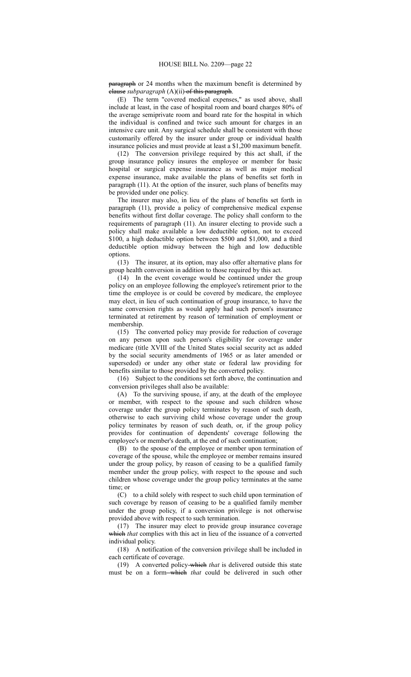paragraph or 24 months when the maximum benefit is determined by clause *subparagraph* (A)(ii) of this paragraph.

(E) The term "covered medical expenses," as used above, shall include at least, in the case of hospital room and board charges 80% of the average semiprivate room and board rate for the hospital in which the individual is confined and twice such amount for charges in an intensive care unit. Any surgical schedule shall be consistent with those customarily offered by the insurer under group or individual health insurance policies and must provide at least a \$1,200 maximum benefit.

(12) The conversion privilege required by this act shall, if the group insurance policy insures the employee or member for basic hospital or surgical expense insurance as well as major medical expense insurance, make available the plans of benefits set forth in paragraph (11). At the option of the insurer, such plans of benefits may be provided under one policy.

The insurer may also, in lieu of the plans of benefits set forth in paragraph (11), provide a policy of comprehensive medical expense benefits without first dollar coverage. The policy shall conform to the requirements of paragraph (11). An insurer electing to provide such a policy shall make available a low deductible option, not to exceed \$100, a high deductible option between \$500 and \$1,000, and a third deductible option midway between the high and low deductible options.

(13) The insurer, at its option, may also offer alternative plans for group health conversion in addition to those required by this act.

(14) In the event coverage would be continued under the group policy on an employee following the employee's retirement prior to the time the employee is or could be covered by medicare, the employee may elect, in lieu of such continuation of group insurance, to have the same conversion rights as would apply had such person's insurance terminated at retirement by reason of termination of employment or membership.

(15) The converted policy may provide for reduction of coverage on any person upon such person's eligibility for coverage under medicare (title XVIII of the United States social security act as added by the social security amendments of 1965 or as later amended or superseded) or under any other state or federal law providing for benefits similar to those provided by the converted policy.

(16) Subject to the conditions set forth above, the continuation and conversion privileges shall also be available:

(A) To the surviving spouse, if any, at the death of the employee or member, with respect to the spouse and such children whose coverage under the group policy terminates by reason of such death, otherwise to each surviving child whose coverage under the group policy terminates by reason of such death, or, if the group policy provides for continuation of dependents' coverage following the employee's or member's death, at the end of such continuation;

(B) to the spouse of the employee or member upon termination of coverage of the spouse, while the employee or member remains insured under the group policy, by reason of ceasing to be a qualified family member under the group policy, with respect to the spouse and such children whose coverage under the group policy terminates at the same time; or

(C) to a child solely with respect to such child upon termination of such coverage by reason of ceasing to be a qualified family member under the group policy, if a conversion privilege is not otherwise provided above with respect to such termination.

(17) The insurer may elect to provide group insurance coverage which *that* complies with this act in lieu of the issuance of a converted individual policy.

(18) A notification of the conversion privilege shall be included in each certificate of coverage.

(19) A converted policy which *that* is delivered outside this state must be on a form which *that* could be delivered in such other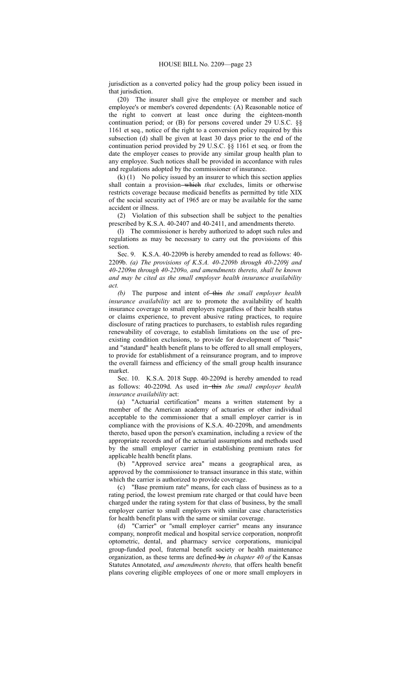jurisdiction as a converted policy had the group policy been issued in that jurisdiction.

(20) The insurer shall give the employee or member and such employee's or member's covered dependents: (A) Reasonable notice of the right to convert at least once during the eighteen-month continuation period; or (B) for persons covered under 29 U.S.C. §§ 1161 et seq., notice of the right to a conversion policy required by this subsection (d) shall be given at least 30 days prior to the end of the continuation period provided by 29 U.S.C. §§ 1161 et seq. or from the date the employer ceases to provide any similar group health plan to any employee. Such notices shall be provided in accordance with rules and regulations adopted by the commissioner of insurance.

 $(k)(1)$  No policy issued by an insurer to which this section applies shall contain a provision-which that excludes, limits or otherwise restricts coverage because medicaid benefits as permitted by title XIX of the social security act of 1965 are or may be available for the same accident or illness.

(2) Violation of this subsection shall be subject to the penalties prescribed by K.S.A. 40-2407 and 40-2411, and amendments thereto.

(l) The commissioner is hereby authorized to adopt such rules and regulations as may be necessary to carry out the provisions of this section.

Sec. 9. K.S.A. 40-2209b is hereby amended to read as follows: 40- 2209b. *(a) The provisions of K.S.A. 40-2209b through 40-2209j and 40-2209m through 40-2209o, and amendments thereto, shall be known and may be cited as the small employer health insurance availability act.*

*(b)* The purpose and intent of-this the small employer health *insurance availability* act are to promote the availability of health insurance coverage to small employers regardless of their health status or claims experience, to prevent abusive rating practices, to require disclosure of rating practices to purchasers, to establish rules regarding renewability of coverage, to establish limitations on the use of preexisting condition exclusions, to provide for development of "basic" and "standard" health benefit plans to be offered to all small employers, to provide for establishment of a reinsurance program, and to improve the overall fairness and efficiency of the small group health insurance market.

Sec. 10. K.S.A. 2018 Supp. 40-2209d is hereby amended to read as follows: 40-2209d. As used in this *the small employer health insurance availability* act:

(a) "Actuarial certification" means a written statement by a member of the American academy of actuaries or other individual acceptable to the commissioner that a small employer carrier is in compliance with the provisions of K.S.A. 40-2209h, and amendments thereto, based upon the person's examination, including a review of the appropriate records and of the actuarial assumptions and methods used by the small employer carrier in establishing premium rates for applicable health benefit plans.

(b) "Approved service area" means a geographical area, as approved by the commissioner to transact insurance in this state, within which the carrier is authorized to provide coverage.

(c) "Base premium rate" means, for each class of business as to a rating period, the lowest premium rate charged or that could have been charged under the rating system for that class of business, by the small employer carrier to small employers with similar case characteristics for health benefit plans with the same or similar coverage.

(d) "Carrier" or "small employer carrier" means any insurance company, nonprofit medical and hospital service corporation, nonprofit optometric, dental, and pharmacy service corporations, municipal group-funded pool, fraternal benefit society or health maintenance organization, as these terms are defined by *in chapter 40 of* the Kansas Statutes Annotated, *and amendments thereto,* that offers health benefit plans covering eligible employees of one or more small employers in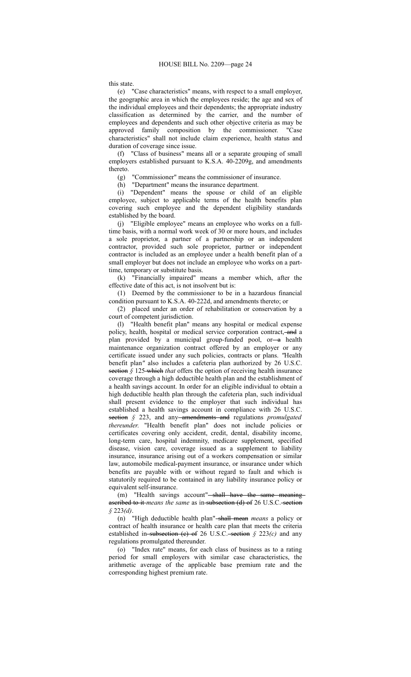this state.

(e) "Case characteristics" means, with respect to a small employer, the geographic area in which the employees reside; the age and sex of the individual employees and their dependents; the appropriate industry classification as determined by the carrier, and the number of employees and dependents and such other objective criteria as may be approved family composition by the commissioner. "Case characteristics" shall not include claim experience, health status and duration of coverage since issue.

(f) "Class of business" means all or a separate grouping of small employers established pursuant to K.S.A. 40-2209g, and amendments thereto.

(g) "Commissioner" means the commissioner of insurance.

(h) "Department" means the insurance department.

(i) "Dependent" means the spouse or child of an eligible employee, subject to applicable terms of the health benefits plan covering such employee and the dependent eligibility standards established by the board.

(j) "Eligible employee" means an employee who works on a fulltime basis, with a normal work week of 30 or more hours, and includes a sole proprietor, a partner of a partnership or an independent contractor, provided such sole proprietor, partner or independent contractor is included as an employee under a health benefit plan of a small employer but does not include an employee who works on a parttime, temporary or substitute basis.

(k) "Financially impaired" means a member which, after the effective date of this act, is not insolvent but is:

(1) Deemed by the commissioner to be in a hazardous financial condition pursuant to K.S.A. 40-222d, and amendments thereto; or

(2) placed under an order of rehabilitation or conservation by a court of competent jurisdiction.

(l) "Health benefit plan" means any hospital or medical expense policy, health, hospital or medical service corporation contract, and a plan provided by a municipal group-funded pool, or- $a$  health maintenance organization contract offered by an employer or any certificate issued under any such policies, contracts or plans. *"*Health benefit plan*"* also includes a cafeteria plan authorized by 26 U.S.C. section  $\hat{S}$  125 which *that* offers the option of receiving health insurance coverage through a high deductible health plan and the establishment of a health savings account. In order for an eligible individual to obtain a high deductible health plan through the cafeteria plan, such individual shall present evidence to the employer that such individual has established a health savings account in compliance with 26 U.S.C. section  $\zeta$  223, and any amendments and regulations *promulgated thereunder*. "Health benefit plan" does not include policies or certificates covering only accident, credit, dental, disability income, long-term care, hospital indemnity, medicare supplement, specified disease, vision care, coverage issued as a supplement to liability insurance, insurance arising out of a workers compensation or similar law, automobile medical-payment insurance, or insurance under which benefits are payable with or without regard to fault and which is statutorily required to be contained in any liability insurance policy or equivalent self-insurance.

(m) "Health savings account"-shall have the same meaningascribed to it-*means the same* as in-subsection (d) of 26 U.S.C. section *§* 223*(d)*.

(n) "High deductible health plan" shall mean *means* a policy or contract of health insurance or health care plan that meets the criteria established in-subsection (c) of 26 U.S.C. section  $\oint$  223*(c)* and any regulations promulgated thereunder.

(o) "Index rate" means, for each class of business as to a rating period for small employers with similar case characteristics, the arithmetic average of the applicable base premium rate and the corresponding highest premium rate.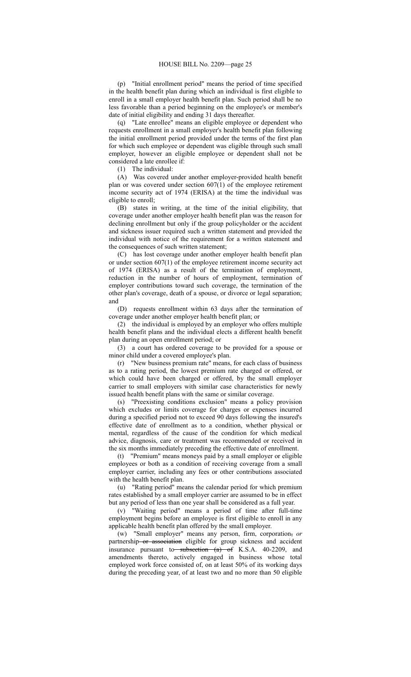(p) "Initial enrollment period" means the period of time specified in the health benefit plan during which an individual is first eligible to enroll in a small employer health benefit plan. Such period shall be no less favorable than a period beginning on the employee's or member's date of initial eligibility and ending 31 days thereafter.

(q) "Late enrollee" means an eligible employee or dependent who requests enrollment in a small employer's health benefit plan following the initial enrollment period provided under the terms of the first plan for which such employee or dependent was eligible through such small employer, however an eligible employee or dependent shall not be considered a late enrollee if:

(1) The individual:

(A) Was covered under another employer-provided health benefit plan or was covered under section 607(1) of the employee retirement income security act of 1974 (ERISA) at the time the individual was eligible to enroll;

(B) states in writing, at the time of the initial eligibility, that coverage under another employer health benefit plan was the reason for declining enrollment but only if the group policyholder or the accident and sickness issuer required such a written statement and provided the individual with notice of the requirement for a written statement and the consequences of such written statement;

(C) has lost coverage under another employer health benefit plan or under section 607(1) of the employee retirement income security act of 1974 (ERISA) as a result of the termination of employment, reduction in the number of hours of employment, termination of employer contributions toward such coverage, the termination of the other plan's coverage, death of a spouse, or divorce or legal separation; and

(D) requests enrollment within 63 days after the termination of coverage under another employer health benefit plan; or

(2) the individual is employed by an employer who offers multiple health benefit plans and the individual elects a different health benefit plan during an open enrollment period; or

(3) a court has ordered coverage to be provided for a spouse or minor child under a covered employee's plan.

(r) "New business premium rate" means, for each class of business as to a rating period, the lowest premium rate charged or offered, or which could have been charged or offered, by the small employer carrier to small employers with similar case characteristics for newly issued health benefit plans with the same or similar coverage.

(s) "Preexisting conditions exclusion" means a policy provision which excludes or limits coverage for charges or expenses incurred during a specified period not to exceed 90 days following the insured's effective date of enrollment as to a condition, whether physical or mental, regardless of the cause of the condition for which medical advice, diagnosis, care or treatment was recommended or received in the six months immediately preceding the effective date of enrollment.

(t) "Premium" means moneys paid by a small employer or eligible employees or both as a condition of receiving coverage from a small employer carrier, including any fees or other contributions associated with the health benefit plan.

(u) "Rating period" means the calendar period for which premium rates established by a small employer carrier are assumed to be in effect but any period of less than one year shall be considered as a full year.

(v) "Waiting period" means a period of time after full-time employment begins before an employee is first eligible to enroll in any applicable health benefit plan offered by the small employer.

(w) "Small employer" means any person, firm, corporation, *or* partnership or association eligible for group sickness and accident insurance pursuant to subsection (a) of K.S.A. 40-2209, and amendments thereto, actively engaged in business whose total employed work force consisted of, on at least 50% of its working days during the preceding year, of at least two and no more than 50 eligible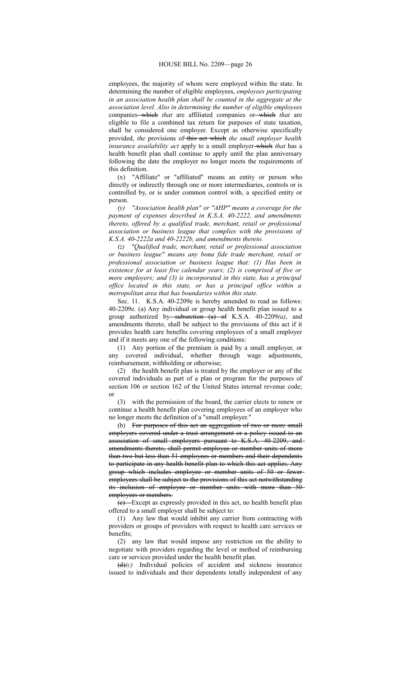employees, the majority of whom were employed within the state. In determining the number of eligible employees, *employees participating in an association health plan shall be counted in the aggregate at the association level. Also in determining the number of eligible employees* companies which *that* are affiliated companies or which *that* are eligible to file a combined tax return for purposes of state taxation, shall be considered one employer. Except as otherwise specifically provided, *the* provisions of this act which *the small employer health insurance availability act* apply to a small employer-which that has a health benefit plan shall continue to apply until the plan anniversary following the date the employer no longer meets the requirements of this definition.

(x) "Affiliate" or "affiliated" means an entity or person who directly or indirectly through one or more intermediaries, controls or is controlled by, or is under common control with, a specified entity or person.

*(y) "Association health plan" or "AHP" means a coverage for the payment of expenses described in K.S.A. 40-2222, and amendments thereto, offered by a qualified trade, merchant, retail or professional association or business league that complies with the provisions of K.S.A. 40-2222a and 40-2222b, and amendments thereto.*

*(z) "Qualified trade, merchant, retail or professional association or business league" means any bona fide trade merchant, retail or professional association or business league that: (1) Has been in existence for at least five calendar years; (2) is comprised of five or more employers; and (3) is incorporated in this state, has a principal office located in this state, or has a principal office within a metropolitan area that has boundaries within this state.*

Sec. 11. K.S.A. 40-2209e is hereby amended to read as follows: 40-2209e. (a) Any individual or group health benefit plan issued to a group authorized by subsection (a) of K.S.A. 40-2209(a), and amendments thereto, shall be subject to the provisions of this act if it provides health care benefits covering employees of a small employer and if it meets any one of the following conditions:

(1) Any portion of the premium is paid by a small employer, or any covered individual, whether through wage adjustments, reimbursement, withholding or otherwise;

(2) the health benefit plan is treated by the employer or any of the covered individuals as part of a plan or program for the purposes of section 106 or section 162 of the United States internal revenue code; or

(3) with the permission of the board, the carrier elects to renew or continue a health benefit plan covering employees of an employer who no longer meets the definition of a "small employer."

(b) For purposes of this act an aggregation of two or more small employers covered under a trust arrangement or a policy issued to an association of small employers pursuant to K.S.A. 40-2209, and amendments thereto, shall permit employee or member units of more than two but less than 51 employees or members and their dependents to participate in any health benefit plan to which this act applies. Any group which includes employee or member units of 50 or fewer employees shall be subject to the provisions of this act notwithstanding its inclusion of employee or member units with more than 50 employees or members.

(c) Except as expressly provided in this act, no health benefit plan offered to a small employer shall be subject to:

(1) Any law that would inhibit any carrier from contracting with providers or groups of providers with respect to health care services or benefits;

(2) any law that would impose any restriction on the ability to negotiate with providers regarding the level or method of reimbursing care or services provided under the health benefit plan.

(d)*(c)* Individual policies of accident and sickness insurance issued to individuals and their dependents totally independent of any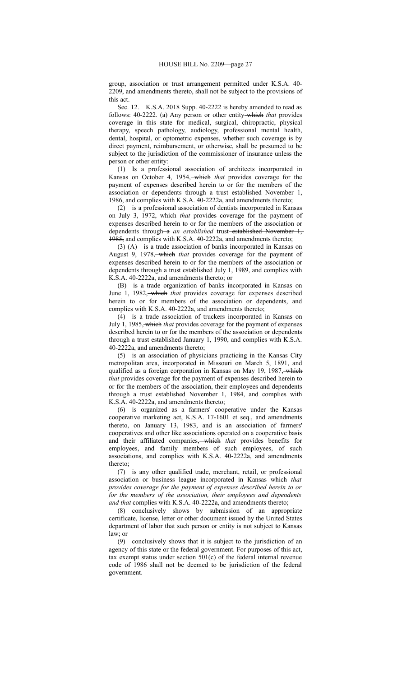group, association or trust arrangement permitted under K.S.A. 40- 2209, and amendments thereto, shall not be subject to the provisions of this act.

Sec. 12. K.S.A. 2018 Supp. 40-2222 is hereby amended to read as follows: 40-2222. (a) Any person or other entity which *that* provides coverage in this state for medical, surgical, chiropractic, physical therapy, speech pathology, audiology, professional mental health, dental, hospital, or optometric expenses, whether such coverage is by direct payment, reimbursement, or otherwise, shall be presumed to be subject to the jurisdiction of the commissioner of insurance unless the person or other entity:

(1) Is a professional association of architects incorporated in Kansas on October 4, 1954, which *that* provides coverage for the payment of expenses described herein to or for the members of the association or dependents through a trust established November 1, 1986, and complies with K.S.A. 40-2222a, and amendments thereto;

(2) is a professional association of dentists incorporated in Kansas on July 3, 1972, which *that* provides coverage for the payment of expenses described herein to or for the members of the association or dependents through a an established trust-established November 1, 1985, and complies with K.S.A. 40-2222a, and amendments thereto;

(3) (A) is a trade association of banks incorporated in Kansas on August 9, 1978, which *that* provides coverage for the payment of expenses described herein to or for the members of the association or dependents through a trust established July 1, 1989, and complies with K.S.A. 40-2222a, and amendments thereto; or

(B) is a trade organization of banks incorporated in Kansas on June 1, 1982, which *that* provides coverage for expenses described herein to or for members of the association or dependents, and complies with K.S.A. 40-2222a, and amendments thereto;

(4) is a trade association of truckers incorporated in Kansas on July 1, 1985, which *that* provides coverage for the payment of expenses described herein to or for the members of the association or dependents through a trust established January 1, 1990, and complies with K.S.A. 40-2222a, and amendments thereto;

(5) is an association of physicians practicing in the Kansas City metropolitan area, incorporated in Missouri on March 5, 1891, and qualified as a foreign corporation in Kansas on May 19, 1987, which *that* provides coverage for the payment of expenses described herein to or for the members of the association, their employees and dependents through a trust established November 1, 1984, and complies with K.S.A. 40-2222a, and amendments thereto;

(6) is organized as a farmers' cooperative under the Kansas cooperative marketing act, K.S.A. 17-1601 et seq., and amendments thereto, on January 13, 1983, and is an association of farmers' cooperatives and other like associations operated on a cooperative basis and their affiliated companies, which that provides benefits for employees, and family members of such employees, of such associations, and complies with K.S.A. 40-2222a, and amendments thereto;

(7) is any other qualified trade, merchant, retail, or professional association or business league incorporated in Kansas which *that provides coverage for the payment of expenses described herein to or for the members of the association, their employees and dependents and that* complies with K.S.A. 40-2222a, and amendments thereto;

(8) conclusively shows by submission of an appropriate certificate, license, letter or other document issued by the United States department of labor that such person or entity is not subject to Kansas law; or

(9) conclusively shows that it is subject to the jurisdiction of an agency of this state or the federal government. For purposes of this act, tax exempt status under section 501(c) of the federal internal revenue code of 1986 shall not be deemed to be jurisdiction of the federal government.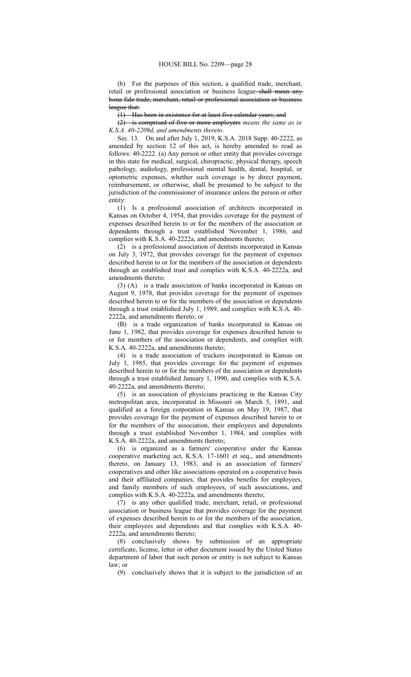(b) For the purposes of this section, a qualified trade, merchant, retail or professional association or business league-shall mean anybona fide trade, merchant, retail or professional association or business league that:

(1) Has been in existence for at least five calendar years; and

(2) is comprised of five or more employers *means the same as in K.S.A. 40-2209d, and amendments thereto*.

Sec. 13. On and after July 1, 2019, K.S.A. 2018 Supp. 40-2222, as amended by section 12 of this act, is hereby amended to read as follows: 40-2222. (a) Any person or other entity that provides coverage in this state for medical, surgical, chiropractic, physical therapy, speech pathology, audiology, professional mental health, dental, hospital, or optometric expenses, whether such coverage is by direct payment, reimbursement, or otherwise, shall be presumed to be subject to the jurisdiction of the commissioner of insurance unless the person or other entity:

(1) Is a professional association of architects incorporated in Kansas on October 4, 1954, that provides coverage for the payment of expenses described herein to or for the members of the association or dependents through a trust established November 1, 1986, and complies with K.S.A. 40-2222a, and amendments thereto;

(2) is a professional association of dentists incorporated in Kansas on July 3, 1972, that provides coverage for the payment of expenses described herein to or for the members of the association or dependents through an established trust and complies with K.S.A. 40-2222a, and amendments thereto;

(3) (A) is a trade association of banks incorporated in Kansas on August 9, 1978, that provides coverage for the payment of expenses described herein to or for the members of the association or dependents through a trust established July 1, 1989, and complies with K.S.A. 40- 2222a, and amendments thereto; or

(B) is a trade organization of banks incorporated in Kansas on June 1, 1982, that provides coverage for expenses described herein to or for members of the association or dependents, and complies with K.S.A. 40-2222a, and amendments thereto;

(4) is a trade association of truckers incorporated in Kansas on July 1, 1985, that provides coverage for the payment of expenses described herein to or for the members of the association or dependents through a trust established January 1, 1990, and complies with K.S.A. 40-2222a, and amendments thereto;

(5) is an association of physicians practicing in the Kansas City metropolitan area, incorporated in Missouri on March 5, 1891, and qualified as a foreign corporation in Kansas on May 19, 1987, that provides coverage for the payment of expenses described herein to or for the members of the association, their employees and dependents through a trust established November 1, 1984, and complies with K.S.A. 40-2222a, and amendments thereto;

(6) is organized as a farmers' cooperative under the Kansas cooperative marketing act, K.S.A. 17-1601 et seq., and amendments thereto, on January 13, 1983, and is an association of farmers' cooperatives and other like associations operated on a cooperative basis and their affiliated companies, that provides benefits for employees, and family members of such employees, of such associations, and complies with K.S.A. 40-2222a, and amendments thereto;

(7) is any other qualified trade, merchant, retail, or professional association or business league that provides coverage for the payment of expenses described herein to or for the members of the association, their employees and dependents and that complies with K.S.A. 40- 2222a, and amendments thereto;

(8) conclusively shows by submission of an appropriate certificate, license, letter or other document issued by the United States department of labor that such person or entity is not subject to Kansas law; or

(9) conclusively shows that it is subject to the jurisdiction of an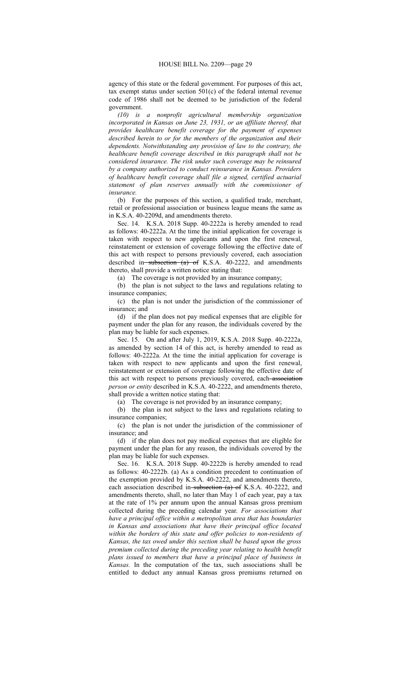agency of this state or the federal government. For purposes of this act, tax exempt status under section 501(c) of the federal internal revenue code of 1986 shall not be deemed to be jurisdiction of the federal government.

*(10) is a nonprofit agricultural membership organization incorporated in Kansas on June 23, 1931, or an affiliate thereof, that provides healthcare benefit coverage for the payment of expenses described herein to or for the members of the organization and their dependents. Notwithstanding any provision of law to the contrary, the healthcare benefit coverage described in this paragraph shall not be considered insurance. The risk under such coverage may be reinsured by a company authorized to conduct reinsurance in Kansas. Providers of healthcare benefit coverage shall file a signed, certified actuarial statement of plan reserves annually with the commissioner of insurance.*

(b) For the purposes of this section, a qualified trade, merchant, retail or professional association or business league means the same as in K.S.A. 40-2209d, and amendments thereto.

Sec. 14. K.S.A. 2018 Supp. 40-2222a is hereby amended to read as follows: 40-2222a. At the time the initial application for coverage is taken with respect to new applicants and upon the first renewal, reinstatement or extension of coverage following the effective date of this act with respect to persons previously covered, each association described in subsection (a) of K.S.A. 40-2222, and amendments thereto, shall provide a written notice stating that:

(a) The coverage is not provided by an insurance company;

(b) the plan is not subject to the laws and regulations relating to insurance companies;

(c) the plan is not under the jurisdiction of the commissioner of insurance; and

(d) if the plan does not pay medical expenses that are eligible for payment under the plan for any reason, the individuals covered by the plan may be liable for such expenses.

Sec. 15. On and after July 1, 2019, K.S.A. 2018 Supp. 40-2222a, as amended by section 14 of this act, is hereby amended to read as follows: 40-2222a. At the time the initial application for coverage is taken with respect to new applicants and upon the first renewal, reinstatement or extension of coverage following the effective date of this act with respect to persons previously covered, each-association*person or entity* described in K.S.A. 40-2222, and amendments thereto, shall provide a written notice stating that:

(a) The coverage is not provided by an insurance company;

(b) the plan is not subject to the laws and regulations relating to insurance companies;

(c) the plan is not under the jurisdiction of the commissioner of insurance; and

(d) if the plan does not pay medical expenses that are eligible for payment under the plan for any reason, the individuals covered by the plan may be liable for such expenses.

Sec. 16. K.S.A. 2018 Supp. 40-2222b is hereby amended to read as follows: 40-2222b. (a) As a condition precedent to continuation of the exemption provided by K.S.A. 40-2222, and amendments thereto, each association described in subsection (a) of K.S.A. 40-2222, and amendments thereto, shall, no later than May 1 of each year, pay a tax at the rate of 1% per annum upon the annual Kansas gross premium collected during the preceding calendar year. *For associations that have a principal office within a metropolitan area that has boundaries in Kansas and associations that have their principal office located within the borders of this state and offer policies to non-residents of Kansas, the tax owed under this section shall be based upon the gross premium collected during the preceding year relating to health benefit plans issued to members that have a principal place of business in Kansas.* In the computation of the tax, such associations shall be entitled to deduct any annual Kansas gross premiums returned on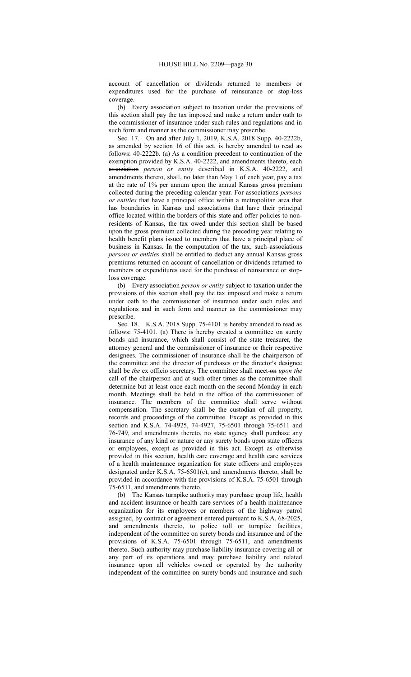account of cancellation or dividends returned to members or expenditures used for the purchase of reinsurance or stop-loss coverage.

(b) Every association subject to taxation under the provisions of this section shall pay the tax imposed and make a return under oath to the commissioner of insurance under such rules and regulations and in such form and manner as the commissioner may prescribe.

Sec. 17. On and after July 1, 2019, K.S.A. 2018 Supp. 40-2222b, as amended by section 16 of this act, is hereby amended to read as follows: 40-2222b. (a) As a condition precedent to continuation of the exemption provided by K.S.A. 40-2222, and amendments thereto, each association *person or entity* described in K.S.A. 40-2222, and amendments thereto, shall, no later than May 1 of each year, pay a tax at the rate of 1% per annum upon the annual Kansas gross premium collected during the preceding calendar year. For associations *persons or entities* that have a principal office within a metropolitan area that has boundaries in Kansas and associations that have their principal office located within the borders of this state and offer policies to nonresidents of Kansas, the tax owed under this section shall be based upon the gross premium collected during the preceding year relating to health benefit plans issued to members that have a principal place of business in Kansas. In the computation of the tax, such associations *persons or entities* shall be entitled to deduct any annual Kansas gross premiums returned on account of cancellation or dividends returned to members or expenditures used for the purchase of reinsurance or stoploss coverage.

(b) Every association *person or entity* subject to taxation under the provisions of this section shall pay the tax imposed and make a return under oath to the commissioner of insurance under such rules and regulations and in such form and manner as the commissioner may prescribe.

Sec. 18. K.S.A. 2018 Supp. 75-4101 is hereby amended to read as follows: 75-4101. (a) There is hereby created a committee on surety bonds and insurance, which shall consist of the state treasurer, the attorney general and the commissioner of insurance or their respective designees. The commissioner of insurance shall be the chairperson of the committee and the director of purchases or the director's designee shall be the ex officio secretary. The committee shall meet-on upon the call of the chairperson and at such other times as the committee shall determine but at least once each month on the second Monday in each month. Meetings shall be held in the office of the commissioner of insurance. The members of the committee shall serve without compensation. The secretary shall be the custodian of all property, records and proceedings of the committee. Except as provided in this section and K.S.A. 74-4925, 74-4927, 75-6501 through 75-6511 and 76-749, and amendments thereto, no state agency shall purchase any insurance of any kind or nature or any surety bonds upon state officers or employees, except as provided in this act. Except as otherwise provided in this section, health care coverage and health care services of a health maintenance organization for state officers and employees designated under K.S.A. 75-6501(c), and amendments thereto, shall be provided in accordance with the provisions of K.S.A. 75-6501 through 75-6511, and amendments thereto.

(b) The Kansas turnpike authority may purchase group life, health and accident insurance or health care services of a health maintenance organization for its employees or members of the highway patrol assigned, by contract or agreement entered pursuant to K.S.A. 68-2025, and amendments thereto, to police toll or turnpike facilities, independent of the committee on surety bonds and insurance and of the provisions of K.S.A. 75-6501 through 75-6511, and amendments thereto. Such authority may purchase liability insurance covering all or any part of its operations and may purchase liability and related insurance upon all vehicles owned or operated by the authority independent of the committee on surety bonds and insurance and such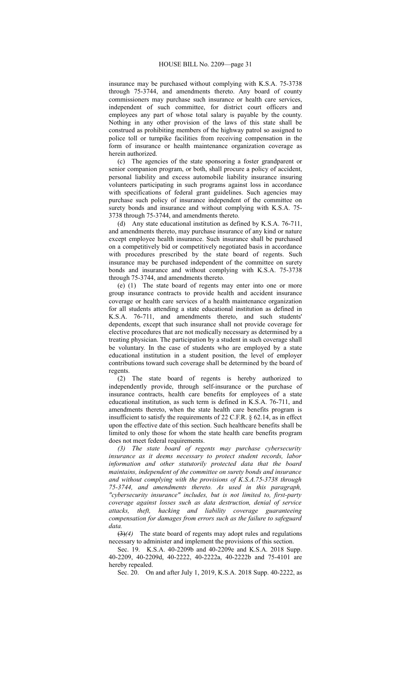insurance may be purchased without complying with K.S.A. 75-3738 through 75-3744, and amendments thereto. Any board of county commissioners may purchase such insurance or health care services, independent of such committee, for district court officers and employees any part of whose total salary is payable by the county. Nothing in any other provision of the laws of this state shall be construed as prohibiting members of the highway patrol so assigned to police toll or turnpike facilities from receiving compensation in the form of insurance or health maintenance organization coverage as herein authorized.

(c) The agencies of the state sponsoring a foster grandparent or senior companion program, or both, shall procure a policy of accident, personal liability and excess automobile liability insurance insuring volunteers participating in such programs against loss in accordance with specifications of federal grant guidelines. Such agencies may purchase such policy of insurance independent of the committee on surety bonds and insurance and without complying with K.S.A. 75- 3738 through 75-3744, and amendments thereto.

(d) Any state educational institution as defined by K.S.A. 76-711, and amendments thereto, may purchase insurance of any kind or nature except employee health insurance. Such insurance shall be purchased on a competitively bid or competitively negotiated basis in accordance with procedures prescribed by the state board of regents. Such insurance may be purchased independent of the committee on surety bonds and insurance and without complying with K.S.A. 75-3738 through 75-3744, and amendments thereto.

(e) (1) The state board of regents may enter into one or more group insurance contracts to provide health and accident insurance coverage or health care services of a health maintenance organization for all students attending a state educational institution as defined in K.S.A. 76-711, and amendments thereto, and such students' dependents, except that such insurance shall not provide coverage for elective procedures that are not medically necessary as determined by a treating physician. The participation by a student in such coverage shall be voluntary. In the case of students who are employed by a state educational institution in a student position, the level of employer contributions toward such coverage shall be determined by the board of regents.

(2) The state board of regents is hereby authorized to independently provide, through self-insurance or the purchase of insurance contracts, health care benefits for employees of a state educational institution, as such term is defined in K.S.A. 76-711, and amendments thereto, when the state health care benefits program is insufficient to satisfy the requirements of 22 C.F.R. § 62.14, as in effect upon the effective date of this section. Such healthcare benefits shall be limited to only those for whom the state health care benefits program does not meet federal requirements.

*(3) The state board of regents may purchase cybersecurity insurance as it deems necessary to protect student records, labor information and other statutorily protected data that the board maintains, independent of the committee on surety bonds and insurance and without complying with the provisions of K.S.A.75-3738 through 75-3744, and amendments thereto. As used in this paragraph, "cybersecurity insurance" includes, but is not limited to, first-party coverage against losses such as data destruction, denial of service attacks, theft, hacking and liability coverage guaranteeing compensation for damages from errors such as the failure to safeguard data.*

(3)*(4)* The state board of regents may adopt rules and regulations necessary to administer and implement the provisions of this section.

Sec. 19. K.S.A. 40-2209b and 40-2209e and K.S.A. 2018 Supp. 40-2209, 40-2209d, 40-2222, 40-2222a, 40-2222b and 75-4101 are hereby repealed.

Sec. 20. On and after July 1, 2019, K.S.A. 2018 Supp. 40-2222, as